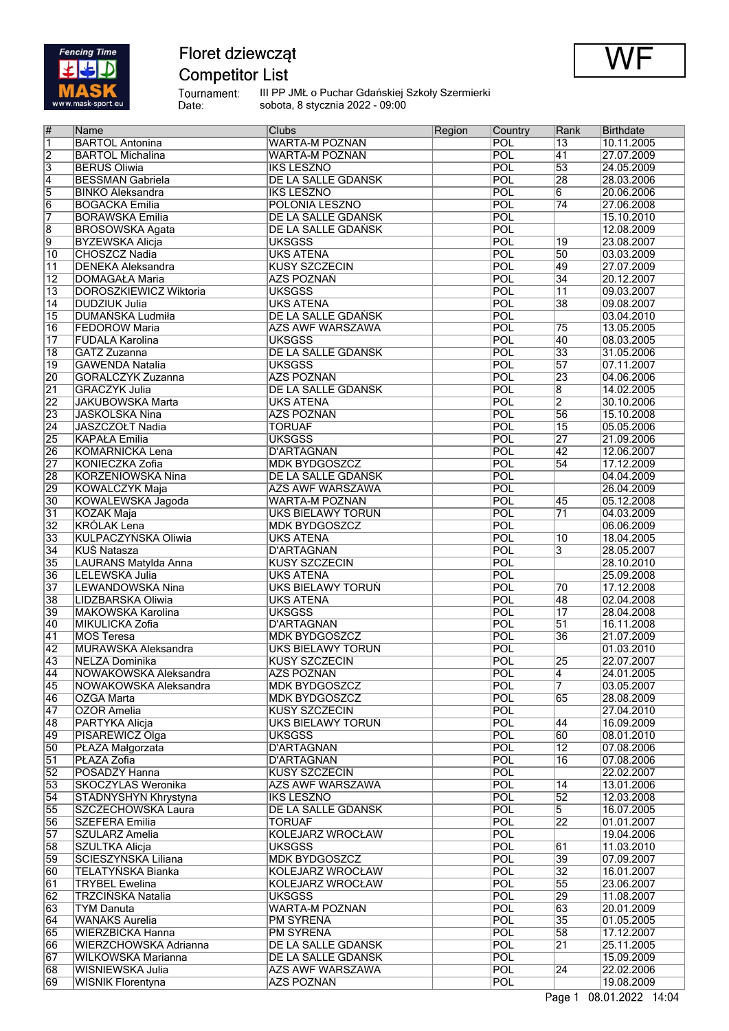

 $\mathbf{r}$ 

# Floret dziewcząt

# **Competitor List**



Tournament:<br>Date:

III PP JMŁ o Puchar Gdańskiej Szkoły Szermierki<br>sobota, 8 stycznia 2022 - 09:00

| #               | <b>Name</b>                   | Clubs                     | Region | Country    | Rank            | <b>Birthdate</b> |
|-----------------|-------------------------------|---------------------------|--------|------------|-----------------|------------------|
| $\overline{1}$  | <b>BARTOL Antonina</b>        | <b>WARTA-M POZNAN</b>     |        | <b>POL</b> | $\overline{13}$ | 10.11.2005       |
| $\overline{2}$  | <b>BARTOL Michalina</b>       | <b>WARTA-M POZNAN</b>     |        | POL        | 41              | 27.07.2009       |
| $\overline{3}$  | <b>BERUS Oliwia</b>           | <b>IKS LESZNO</b>         |        | POL        | 53              | 24.05.2009       |
| $\overline{4}$  | <b>BESSMAN Gabriela</b>       | DE LA SALLE GDAŃSK        |        | POL        | 28              | 28.03.2006       |
|                 |                               |                           |        |            |                 |                  |
| 5               | <b>BINKO Aleksandra</b>       | <b>IKS LESZNO</b>         |        | POL        | $\overline{6}$  | 20.06.2006       |
| $\overline{6}$  | <b>BOGACKA Emilia</b>         | POLONIA LESZNO            |        | POL        | $\overline{74}$ | 27.06.2008       |
| $\overline{7}$  | <b>BORAWSKA Emilia</b>        | <b>DE LA SALLE GDAŃSK</b> |        | POL        |                 | 15.10.2010       |
| $\overline{8}$  | <b>BROSOWSKA Agata</b>        | DE LA SALLE GDAŃSK        |        | POL        |                 | 12.08.2009       |
| 9               | <b>BYZEWSKA Alicja</b>        | <b>UKSGSS</b>             |        | POL        | 19              | 23.08.2007       |
|                 | CHOSZCZ Nadia                 | <b>UKS ATENA</b>          |        | POL        | 50              |                  |
| $\overline{10}$ |                               |                           |        |            |                 | 03.03.2009       |
| $\overline{11}$ | <b>DENEKA Aleksandra</b>      | <b>KUSY SZCZECIN</b>      |        | POL        | 49              | 27.07.2009       |
| $\overline{12}$ | <b>DOMAGAŁA Maria</b>         | <b>AZS POZNAŃ</b>         |        | POL        | 34              | 20.12.2007       |
| $\overline{13}$ | <b>DOROSZKIEWICZ Wiktoria</b> | <b>UKSGSS</b>             |        | POL        | $\overline{11}$ | 09.03.2007       |
| $\overline{14}$ | <b>DUDZIUK Julia</b>          | <b>UKS ATENA</b>          |        | POL        | $\overline{38}$ | 09.08.2007       |
| $\overline{15}$ | <b>DUMAŃSKA Ludmiła</b>       | <b>DE LA SALLE GDAŃSK</b> |        | POL        |                 | 03.04.2010       |
| $\overline{16}$ |                               |                           |        | POL        |                 |                  |
|                 | FEDORÓW Maria                 | <b>AZS AWF WARSZAWA</b>   |        |            | 75              | 13.05.2005       |
| $\overline{17}$ | <b>FUDALA Karolina</b>        | <b>UKSGSS</b>             |        | POL        | 40              | 08.03.2005       |
| 18              | GATZ Zuzanna                  | <b>DE LA SALLE GDAŃSK</b> |        | POL        | 33              | 31.05.2006       |
| $\overline{19}$ | <b>GAWENDA Natalia</b>        | <b>UKSGSS</b>             |        | POL        | 57              | 07.11.2007       |
| 20              | GÓRALCZYK Zuzanna             | <b>AZS POZNAŃ</b>         |        | POL        | 23              | 04.06.2006       |
| $\overline{21}$ | <b>GRACZYK Julia</b>          | <b>DE LA SALLE GDAŃSK</b> |        | POL        | $\overline{8}$  | 14.02.2005       |
|                 |                               |                           |        | POL        |                 |                  |
| $\overline{22}$ | <b>JAKUBOWSKA Marta</b>       | <b>UKS ATENA</b>          |        |            | $\overline{2}$  | 30.10.2006       |
| 23              | <b>JASKÓLSKA Nina</b>         | <b>AZS POZNAŃ</b>         |        | POL        | 56              | 15.10.2008       |
| $\overline{24}$ | JASZCZOŁT Nadia               | <b>TORUAF</b>             |        | POL        | 15              | 05.05.2006       |
| 25              | <b>KAPAŁA Emilia</b>          | <b>UKSGSS</b>             |        | POL        | 27              | 21.09.2006       |
| 26              | <b>KOMARNICKA Lena</b>        | <b>D'ARTAGNAN</b>         |        | POL        | 42              | 12.06.2007       |
| $\overline{27}$ | KONIECZKA Zofia               | <b>MDK BYDGOSZCZ</b>      |        | POL        | 54              | 17.12.2009       |
|                 |                               |                           |        | POL        |                 |                  |
| 28              | <b>KORZENIOWSKA Nina</b>      | DE LA SALLE GDAŃSK        |        |            |                 | 04.04.2009       |
| 29              | <b>KOWALCZYK Maja</b>         | <b>AZS AWF WARSZAWA</b>   |        | POL        |                 | 26.04.2009       |
| $\overline{30}$ | KOWALEWSKA Jagoda             | <b>WARTA-M POZNAN</b>     |        | POL        | 45              | 05.12.2008       |
| 31              | <b>KOZAK Maja</b>             | <b>UKS BIELAWY TORUŃ</b>  |        | POL        | 71              | 04.03.2009       |
| $\overline{32}$ | <b>KRÓLAK Lena</b>            | <b>MDK BYDGOSZCZ</b>      |        | POL        |                 | 06.06.2009       |
| 33              | <b>KULPACZYŃSKA Oliwia</b>    | <b>UKS ATENA</b>          |        | POL        | $\overline{10}$ | 18.04.2005       |
| $\overline{34}$ |                               |                           |        | POL        | $\overline{3}$  |                  |
|                 | <b>KUŚ Natasza</b>            | <b>D'ARTAGNAN</b>         |        |            |                 | 28.05.2007       |
| 35              | LAURANS Matylda Anna          | <b>KUSY SZCZECIN</b>      |        | POL        |                 | 28.10.2010       |
| 36              | <b>LELEWSKA Julia</b>         | <b>UKS ATENA</b>          |        | POL        |                 | 25.09.2008       |
| 37              | <b>LEWANDOWSKA Nina</b>       | <b>UKS BIELAWY TORUN</b>  |        | POL        | $\overline{70}$ | 17.12.2008       |
| 38              | LIDZBARSKA Oliwia             | <b>UKS ATENA</b>          |        | POL        | 48              | 02.04.2008       |
| 39              | MAKOWSKA Karolina             | <b>UKSGSS</b>             |        | POL        | $\overline{17}$ | 28.04.2008       |
|                 | MIKULICKA Zofia               | <b>D'ARTAGNAN</b>         |        | POL        | 51              | 16.11.2008       |
| 40              |                               |                           |        |            |                 |                  |
| $\overline{41}$ | <b>MOS Teresa</b>             | <b>MDK BYDGOSZCZ</b>      |        | POL        | 36              | 21.07.2009       |
| 42              | <b>MURAWSKA Aleksandra</b>    | <b>UKS BIELAWY TORUN</b>  |        | POL        |                 | 01.03.2010       |
| 43              | NELZA Dominika                | <b>KUSY SZCZECIN</b>      |        | POL        | 25              | 22.07.2007       |
| 44              | NOWAKOWSKA Aleksandra         | <b>AZS POZNAŃ</b>         |        | POL        | $\overline{4}$  | 24.01.2005       |
| 45              | NOWAKOWSKA Aleksandra         | <b>MDK BYDGOSZCZ</b>      |        | <b>POL</b> | 7               | 03.05.2007       |
| 46              | <b>OZGA</b> Marta             | <b>MDK BYDGOSZCZ</b>      |        | POL        | 65              | 28.08.2009       |
|                 |                               |                           |        |            |                 |                  |
| $\overline{47}$ | OZÓR Amelia                   | <b>KUSY SZCZECIN</b>      |        | POL        |                 | 27.04.2010       |
| 48              | PARTYKA Alicja                | <b>UKS BIELAWY TORUN</b>  |        | POL        | 44              | 16.09.2009       |
| 49              | PISAREWICZ Olga               | <b>UKSGSS</b>             |        | POL        | 60              | 08.01.2010       |
| 50              | PŁAZA Małgorzata              | D'ARTAGNAN                |        | <b>POL</b> | $\overline{12}$ | 07.08.2006       |
| $\overline{51}$ | PŁAZA Zofia                   | D'ARTAGNAN                |        | <b>POL</b> | $\overline{16}$ | 07.08.2006       |
| $\overline{52}$ | POSADZY Hanna                 | <b>KUSY SZCZECIN</b>      |        | POL        |                 | 22.02.2007       |
| 53              | <b>SKOCZYLAS Weronika</b>     |                           |        | POL        | 14              | 13.01.2006       |
|                 |                               | AZS AWF WARSZAWA          |        |            |                 |                  |
| $\overline{54}$ | STADNYSHYN Khrystyna          | <b>IKS LESZNO</b>         |        | POL        | $\overline{52}$ | 12.03.2008       |
| 55              | SZCZECHOWSKA Laura            | DE LA SALLE GDAŃSK        |        | POL        | 5               | 16.07.2005       |
| 56              | <b>SZEFERA Emilia</b>         | <b>TORUAF</b>             |        | POL        | 22              | 01.01.2007       |
| $\overline{57}$ | <b>SZULARZ Amelia</b>         | <b>KOLEJARZ WROCŁAW</b>   |        | <b>POL</b> |                 | 19.04.2006       |
| 58              | <b>SZULTKA Alicja</b>         | <b>UKSGSS</b>             |        | POL        | 61              | 11.03.2010       |
| 59              | <b>SCIESZYŃSKA Liliana</b>    | <b>MDK BYDGOSZCZ</b>      |        | POL        | 39              | 07.09.2007       |
|                 |                               |                           |        |            |                 |                  |
| 60              | <b>TELATYŃSKA Bianka</b>      | KOLEJARZ WROCŁAW          |        | <b>POL</b> | $\overline{32}$ | 16.01.2007       |
| 61              | <b>TRYBEL Ewelina</b>         | KOLEJARZ WROCŁAW          |        | POL        | $\overline{55}$ | 23.06.2007       |
| 62              | <b>TRZCIŃSKA Natalia</b>      | <b>UKSGSS</b>             |        | POL        | 29              | 11.08.2007       |
| 63              | <b>TYM Danuta</b>             | <b>WARTA-M POZNAN</b>     |        | POL        | 63              | 20.01.2009       |
| 64              | <b>WANAKS Aurelia</b>         | <b>PM SYRENA</b>          |        | POL        | $\overline{35}$ | 01.05.2005       |
| 65              | <b>WIERZBICKA Hanna</b>       | <b>PM SYRENA</b>          |        | POL        | 58              | 17.12.2007       |
|                 |                               |                           |        |            |                 |                  |
| 66              | WIERZCHOWSKA Adrianna         | DE LA SALLE GDAŃSK        |        | POL        | $\overline{21}$ | 25.11.2005       |
| $\overline{67}$ | WILKOWSKA Marianna            | DE LA SALLE GDAŃSK        |        | POL        |                 | 15.09.2009       |
| 68              | WISNIEWSKA Julia              | <b>AZS AWF WARSZAWA</b>   |        | POL        | 24              | 22.02.2006       |
| 69              | <b>WISNIK Florentyna</b>      | AZS POZNAŃ                |        | POL        |                 | 19.08.2009       |
|                 |                               |                           |        |            |                 |                  |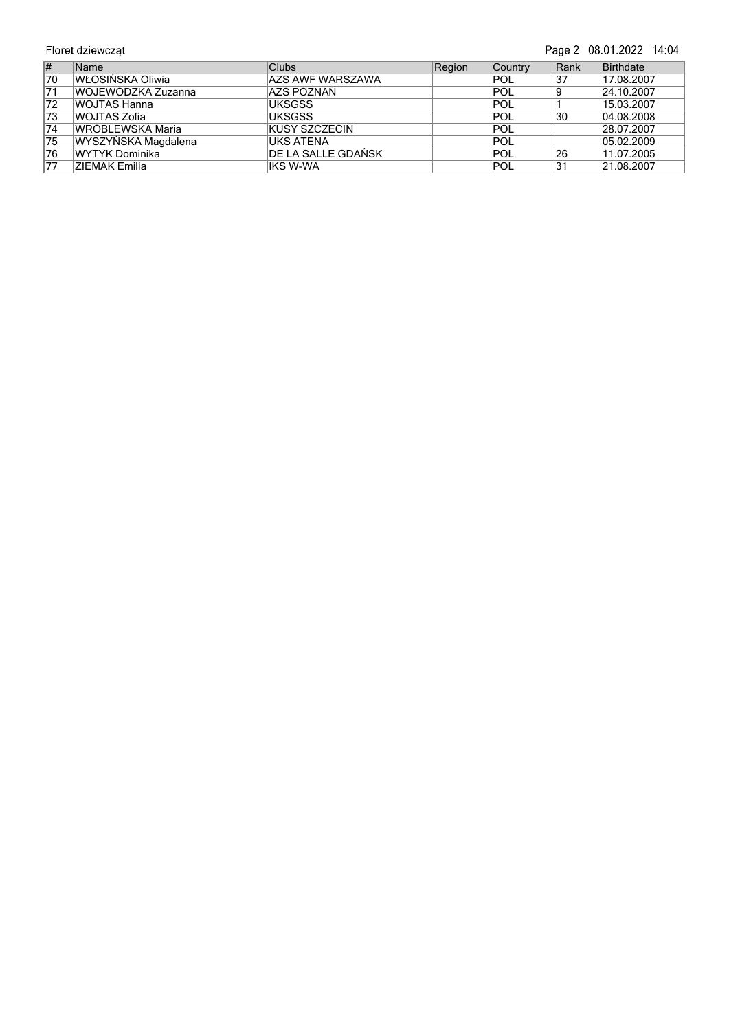|                 | Floret dziewcząt     |                         |        |                |      | Page 2 08.01.2022 14:04 |
|-----------------|----------------------|-------------------------|--------|----------------|------|-------------------------|
| #               | <b>Name</b>          | <b>Clubs</b>            | Region | <b>Country</b> | Rank | Birthdate               |
| 70              | WŁOSIŃSKA Oliwia     | <b>AZS AWF WARSZAWA</b> |        | POL            | 37   | 17.08.2007              |
| 71              | WOJEWÓDZKA Zuzanna   | AZS POZNAŃ              |        | POL            |      | 24.10.2007              |
| 72              | WOJTAS Hanna         | <b>UKSGSS</b>           |        | POL            |      | 15.03.2007              |
| 73              | WOJTAS Zofia         | <b>UKSGSS</b>           |        | POL            | 30   | 04.08.2008              |
| 74              | WRÓBLEWSKA Maria     | IKUSY SZCZECIN          |        | POL            |      | 28.07.2007              |
| $\overline{75}$ | WYSZYŃSKA Magdalena  | <b>UKS ATENA</b>        |        | POL            |      | $\overline{05.02.2009}$ |
| 76              | WYTYK Dominika       | DE LA SALLE GDAŃSK      |        | POL            | 26   | 11.07.2005              |
| 77              | <b>ZIEMAK Emilia</b> | IKS W-WA                |        | POL            | 31   | 21.08.2007              |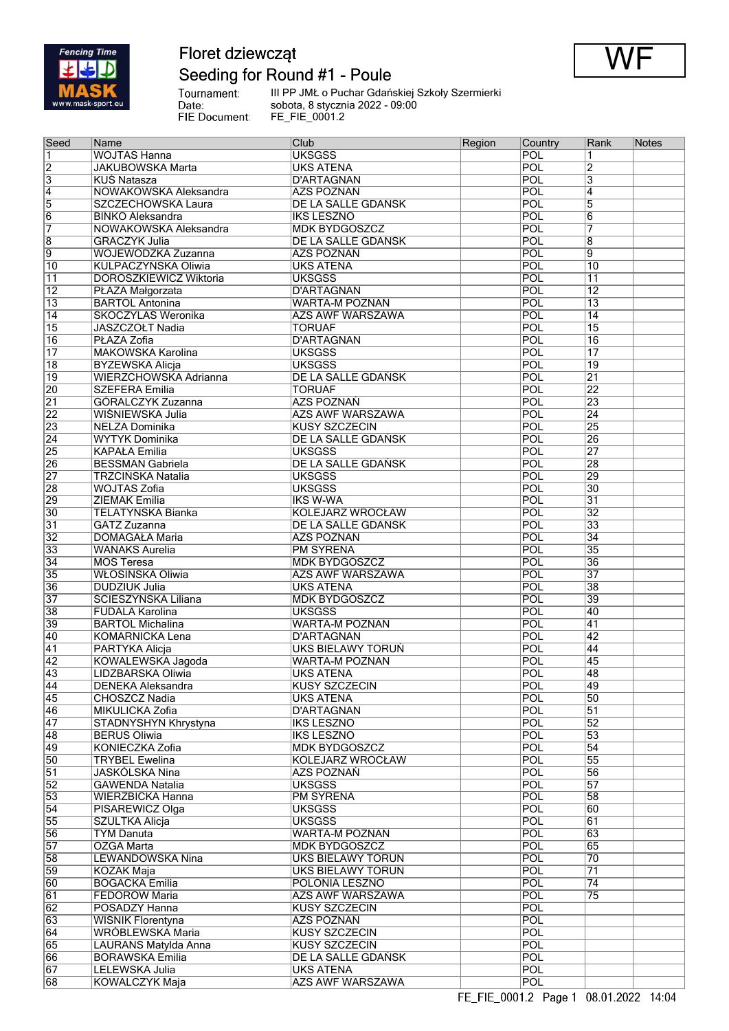

## Floret dziewcząt Seeding for Round #1 - Poule



Tournament:<br>Date:<br>FIE Document:

III PP JMŁ o Puchar Gdańskiej Szkoły Szermierki sobota, 8 stycznia 2022 - 09:00 FE\_FIE\_0001.2

| Seed            | Name                          | Club                    | Region | Country    | Rank            | <b>Notes</b> |
|-----------------|-------------------------------|-------------------------|--------|------------|-----------------|--------------|
| 1               | <b>WOJTAS Hanna</b>           | <b>UKSGSS</b>           |        | POL        | 1               |              |
| $\overline{2}$  | <b>JAKUBOWSKA Marta</b>       | <b>UKS ATENA</b>        |        | POL        | $\overline{2}$  |              |
| $\overline{3}$  | <b>KUŚ Natasza</b>            | <b>D'ARTAGNAN</b>       |        | POL        | $\overline{3}$  |              |
| $\overline{4}$  | NOWAKOWSKA Aleksandra         | AZS POZNAŃ              |        | POL        | $\overline{4}$  |              |
| $\overline{5}$  | SZCZECHOWSKA Laura            | DE LA SALLE GDAŃSK      |        | POL        | $\overline{5}$  |              |
|                 |                               |                         |        |            |                 |              |
| 6               | <b>BINKO Aleksandra</b>       | <b>IKS LESZNO</b>       |        | POL        | $\overline{6}$  |              |
| 7               | NOWAKOWSKA Aleksandra         | <b>MDK BYDGOSZCZ</b>    |        | POL        | 7               |              |
| $\overline{8}$  | <b>GRACZYK Julia</b>          | DE LA SALLE GDAŃSK      |        | POL        | $\overline{8}$  |              |
| $\overline{9}$  | WOJEWÓDZKA Zuzanna            | <b>AZS POZNAŃ</b>       |        | POL        | $\overline{9}$  |              |
| $\overline{10}$ | KULPACZYŃSKA Oliwia           | <b>UKS ATENA</b>        |        | POL        | $\overline{10}$ |              |
| $\overline{11}$ | <b>DOROSZKIEWICZ Wiktoria</b> | <b>UKSGSS</b>           |        | POL        | $\overline{11}$ |              |
| $\overline{12}$ | PŁAZA Małgorzata              | <b>D'ARTAGNAN</b>       |        | POL        | $\overline{12}$ |              |
|                 |                               |                         |        |            |                 |              |
| $\overline{13}$ | <b>BARTOL Antonina</b>        | <b>WARTA-M POZNAN</b>   |        | POL        | $\overline{13}$ |              |
| $\overline{14}$ | <b>SKOCZYLAS Weronika</b>     | AZS AWF WARSZAWA        |        | POL        | $\overline{14}$ |              |
| $\overline{15}$ | JASZCZOŁT Nadia               | <b>TORUAF</b>           |        | POL        | $\overline{15}$ |              |
| $\overline{16}$ | PŁAZA Zofia                   | <b>D'ARTAGNAN</b>       |        | POL        | 16              |              |
| $\overline{17}$ | <b>MAKOWSKA Karolina</b>      | <b>UKSGSS</b>           |        | POL        | $\overline{17}$ |              |
| $\overline{18}$ | <b>BYZEWSKA Alicja</b>        | <b>UKSGSS</b>           |        | POL        | $\overline{19}$ |              |
| $\overline{19}$ | WIERZCHOWSKA Adrianna         | DE LA SALLE GDAŃSK      |        | POL        | $\overline{21}$ |              |
|                 |                               |                         |        |            |                 |              |
| $\overline{20}$ | <b>SZEFERA Emilia</b>         | <b>TORUAF</b>           |        | POL        | 22              |              |
| $\overline{21}$ | GÓRALCZYK Zuzanna             | <b>AZS POZNAŃ</b>       |        | POL        | 23              |              |
| $\overline{22}$ | WIŚNIEWSKA Julia              | <b>AZS AWF WARSZAWA</b> |        | POL        | $\overline{24}$ |              |
| $\overline{23}$ | NELZA Dominika                | <b>KUSY SZCZECIN</b>    |        | POL        | $\overline{25}$ |              |
| $\overline{24}$ | <b>WYTYK Dominika</b>         | DE LA SALLE GDAŃSK      |        | POL        | 26              |              |
| $\overline{25}$ | <b>KAPAŁA Emilia</b>          | <b>UKSGSS</b>           |        | POL        | 27              |              |
|                 |                               |                         |        |            |                 |              |
| $\overline{26}$ | <b>BESSMAN Gabriela</b>       | DE LA SALLE GDAŃSK      |        | POL        | 28              |              |
| $\overline{27}$ | TRZCIŃSKA Natalia             | <b>UKSGSS</b>           |        | POL        | 29              |              |
| $\overline{28}$ | <b>WOJTAS Zofia</b>           | <b>UKSGSS</b>           |        | POL        | 30              |              |
| $\overline{29}$ | ZIEMAK Emilia                 | <b>IKS W-WA</b>         |        | POL        | $\overline{31}$ |              |
| $\overline{30}$ | <b>TELATYŃSKA Bianka</b>      | <b>KOLEJARZ WROCŁAW</b> |        | POL        | $\overline{32}$ |              |
| $\overline{31}$ | GATZ Zuzanna                  | DE LA SALLE GDAŃSK      |        | POL        | 33              |              |
| $\overline{32}$ |                               |                         |        | POL        | $\overline{34}$ |              |
|                 | DOMAGAŁA Maria                | AZS POZNAŃ              |        |            |                 |              |
| $\overline{33}$ | <b>WANAKS Aurelia</b>         | <b>PM SYRENA</b>        |        | <b>POL</b> | $\overline{35}$ |              |
| $\overline{34}$ | <b>MOS Teresa</b>             | <b>MDK BYDGOSZCZ</b>    |        | POL        | 36              |              |
| $\overline{35}$ | WŁOSIŃSKA Oliwia              | <b>AZS AWF WARSZAWA</b> |        | POL        | 37              |              |
| $\overline{36}$ | <b>DUDZIUK Julia</b>          | <b>UKS ATENA</b>        |        | POL        | 38              |              |
| $\overline{37}$ | ŚCIESZYŃSKA Liliana           | <b>MDK BYDGOSZCZ</b>    |        | POL        | 39              |              |
| $\overline{38}$ | <b>FUDALA Karolina</b>        | <b>UKSGSS</b>           |        | POL        | 40              |              |
| $\overline{39}$ |                               |                         |        | POL        | 41              |              |
|                 | <b>BARTOL Michalina</b>       | <b>WARTA-M POZNAN</b>   |        |            |                 |              |
| 40              | <b>KOMARNICKA Lena</b>        | <b>D'ARTAGNAN</b>       |        | POL        | 42              |              |
| 41              | PARTYKA Alicja                | UKS BIELAWY TORUŃ       |        | POL        | 44              |              |
| $\overline{42}$ | <b>KOWALEWSKA Jagoda</b>      | <b>WARTA-M POZNAN</b>   |        | POL        | 45              |              |
| 43              | LIDZBARSKA Oliwia             | <b>UKS ATENA</b>        |        | POL        | 48              |              |
| 44              | <b>DENEKA Aleksandra</b>      | <b>KUSY SZCZECIN</b>    |        | POL        | 49              |              |
| 45              | CHOSZCZ Nadia                 | <b>UKS ATENA</b>        |        | POL        | 50              |              |
| $\overline{46}$ | <b>MIKULICKA Zofia</b>        | D'ARTAGNAN              |        | POL        | $\overline{51}$ |              |
|                 |                               |                         |        |            |                 |              |
| 47              | STADNYSHYN Khrystyna          | <b>IKS LESZNO</b>       |        | POL        | $\overline{52}$ |              |
| 48              | <b>BERUS Oliwia</b>           | <b>IKS LESZNO</b>       |        | POL        | $\overline{53}$ |              |
| 49              | KONIECZKA Zofia               | <b>MDK BYDGOSZCZ</b>    |        | <b>POL</b> | $\overline{54}$ |              |
| $\overline{50}$ | <b>TRYBEL Ewelina</b>         | <b>KOLEJARZ WROCŁAW</b> |        | POL        | 55              |              |
| $\overline{51}$ | JASKÓLSKA Nina                | AZS POZNAŃ              |        | POL        | $\overline{56}$ |              |
| $\overline{52}$ | <b>GAWENDA Natalia</b>        | <b>UKSGSS</b>           |        | POL        | 57              |              |
| $\overline{53}$ | <b>WIERZBICKA Hanna</b>       | <b>PM SYRENA</b>        |        | POL        | 58              |              |
| $\overline{54}$ |                               |                         |        |            | 60              |              |
|                 | PISAREWICZ Olga               | <b>UKSGSS</b>           |        | POL        |                 |              |
| $\overline{55}$ | SZULTKA Alicja                | <b>UKSGSS</b>           |        | POL        | 61              |              |
| $\overline{56}$ | <b>TYM Danuta</b>             | <b>WARTA-M POZNAN</b>   |        | POL        | 63              |              |
| $\overline{57}$ | OZGA Marta                    | <b>MDK BYDGOSZCZ</b>    |        | POL        | 65              |              |
| $\overline{58}$ | <b>LEWANDOWSKA Nina</b>       | UKS BIELAWY TORUŃ       |        | POL        | $\overline{70}$ |              |
| $\overline{59}$ | <b>KOZAK Maja</b>             | UKS BIELAWY TORUŃ       |        | POL        | $\overline{71}$ |              |
| 60              | <b>BOGACKA Emilia</b>         | POLONIA LESZNO          |        | POL        | $\overline{74}$ |              |
|                 |                               |                         |        |            |                 |              |
| $\overline{61}$ | <b>FEDORÓW Maria</b>          | AZS AWF WARSZAWA        |        | <b>POL</b> | $\overline{75}$ |              |
| 62              | POSADZY Hanna                 | <b>KUSY SZCZECIN</b>    |        | POL        |                 |              |
| 63              | <b>WIŚNIK Florentyna</b>      | <b>AZS POZNAŃ</b>       |        | POL        |                 |              |
| 64              | WRÓBLEWSKA Maria              | <b>KUSY SZCZECIN</b>    |        | POL        |                 |              |
| $\overline{65}$ | LAURANS Matylda Anna          | <b>KUSY SZCZECIN</b>    |        | POL        |                 |              |
| 66              | <b>BORAWSKA Emilia</b>        | DE LA SALLE GDAŃSK      |        | POL        |                 |              |
| 67              | LELEWSKA Julia                | <b>UKS ATENA</b>        |        | POL        |                 |              |
|                 |                               |                         |        |            |                 |              |
| 68              | <b>KOWALCZYK Maja</b>         | AZS AWF WARSZAWA        |        | POL        |                 |              |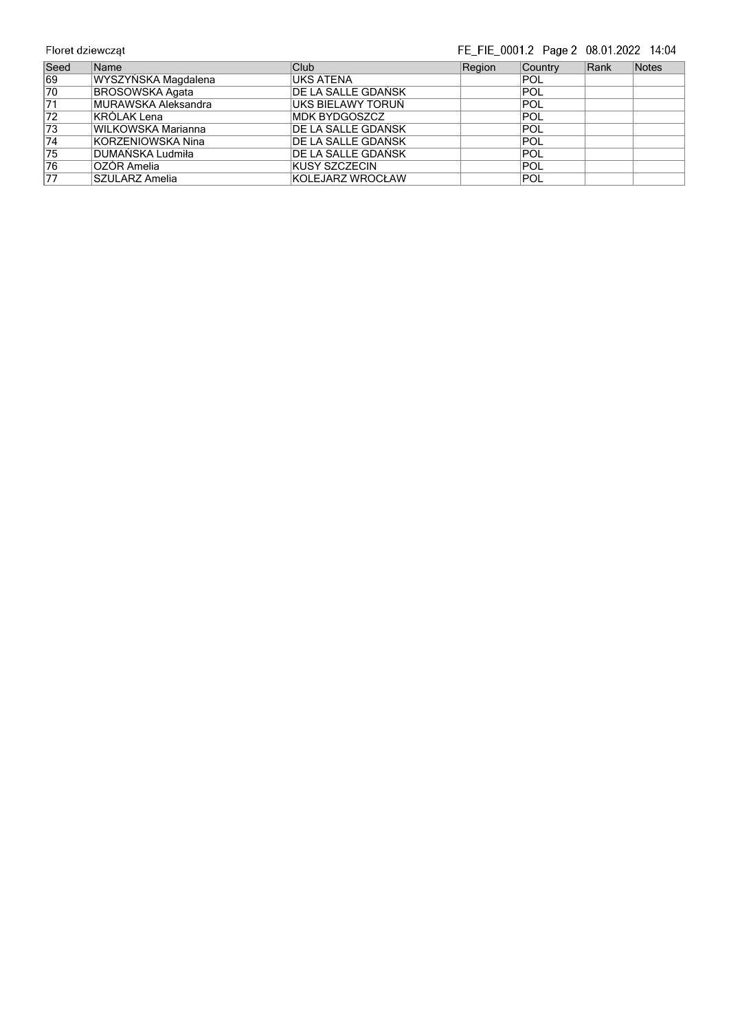## FE\_FIE\_0001.2 Page 2 08.01.2022 14:04

| Seed            | <b>Name</b>                 | Club                  | Region | Country    | Rank | Notes |
|-----------------|-----------------------------|-----------------------|--------|------------|------|-------|
| 69              | WYSZYŃSKA Magdalena         | <b>UKS ATENA</b>      |        | <b>POL</b> |      |       |
| $\overline{70}$ | <b>BROSOWSKA Agata</b>      | DE LA SALLE GDAŃSK    |        | <b>POL</b> |      |       |
| $\overline{71}$ | <b>IMURAWSKA Aleksandra</b> | UKS BIELAWY TORUŃ     |        | <b>POL</b> |      |       |
| $\overline{72}$ | KRÓLAK Lena                 | <b>IMDK BYDGOSZCZ</b> |        | <b>POL</b> |      |       |
| 73              | <b>WILKOWSKA Marianna</b>   | IDE LA SALLE GDAŃSK   |        | <b>POL</b> |      |       |
| $\overline{74}$ | <b>KORZENIOWSKA Nina</b>    | DE LA SALLE GDAŃSK    |        | <b>POL</b> |      |       |
| 75              | DUMAŃSKA Ludmiła            | DE LA SALLE GDAŃSK    |        | <b>POL</b> |      |       |
| 76              | lOZÓR Amelia                | IKUSY SZCZECIN        |        | <b>POL</b> |      |       |
| 77              | SZULARZ Amelia              | KOLEJARZ WROCŁAW      |        | <b>POL</b> |      |       |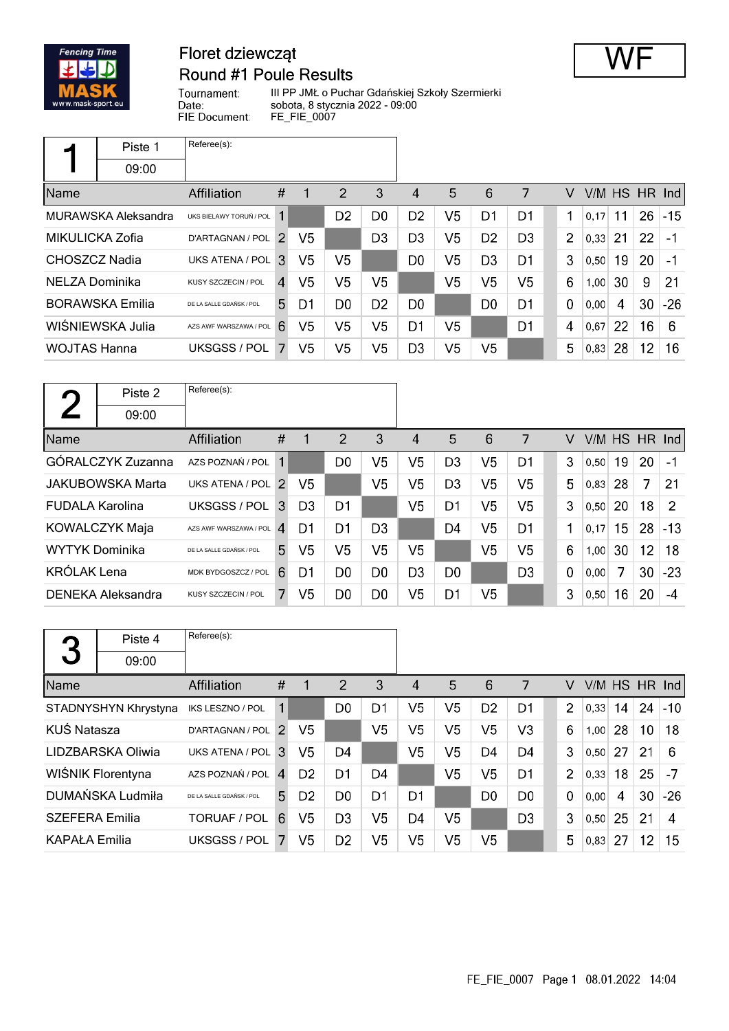

## Floret dziewcząt **Round #1 Poule Results**



III PP JMŁ o Puchar Gdańskiej Szkoły Szermierki sobota, 8 stycznia 2022 - 09:00 FE\_FIE\_0007

|                     | Piste 1                | Referee(s):              |               |                |                |                |                |                |                 |                |                |        |    |     |                      |
|---------------------|------------------------|--------------------------|---------------|----------------|----------------|----------------|----------------|----------------|-----------------|----------------|----------------|--------|----|-----|----------------------|
|                     | 09:00                  |                          |               |                |                |                |                |                |                 |                |                |        |    |     |                      |
| Name                |                        | <b>Affiliation</b>       | #             |                | 2              | 3              | $\overline{4}$ | 5              | $6\phantom{1}6$ | 7              | V              | V/M HS |    | HR. | $\lfloor nd \rfloor$ |
|                     | MURAWSKA Aleksandra    | UKS BIELAWY TORUŃ / POL  |               |                | D <sub>2</sub> | D <sub>0</sub> | D <sub>2</sub> | V <sub>5</sub> | D <sub>1</sub>  | D <sub>1</sub> |                | 0,17   | 11 | 26  | $-15$                |
| MIKULICKA Zofia     |                        | D'ARTAGNAN / POL         | $\mathcal{P}$ | V5             |                | D <sub>3</sub> | D <sub>3</sub> | V <sub>5</sub> | D <sub>2</sub>  | D <sub>3</sub> | $\overline{2}$ | 0,33   | 21 | 22  | $-1$                 |
| CHOSZCZ Nadia       |                        | UKS ATENA / POL 3        |               | V <sub>5</sub> | V <sub>5</sub> |                | D <sub>0</sub> | V <sub>5</sub> | D <sub>3</sub>  | D1             | 3              | 0,50   | 19 | 20  | $-1$                 |
| NELZA Dominika      |                        | KUSY SZCZECIN / POL      | 4             | V <sub>5</sub> | V <sub>5</sub> | V5             |                | V <sub>5</sub> | V <sub>5</sub>  | V <sub>5</sub> | 6              | 1,00   | 30 | 9   | 21                   |
|                     | <b>BORAWSKA Emilia</b> | DE LA SALLE GDAŃSK / POL | 5.            | D1             | D <sub>0</sub> | D <sub>2</sub> | D0             |                | D <sub>0</sub>  | D <sub>1</sub> | $\mathbf 0$    | 0,00   | 4  | 30  | $-26$                |
|                     | WIŚNIEWSKA Julia       | AZS AWF WARSZAWA / POL   | 6             | V5             | V5             | V5             | D1             | V5             |                 | D1             | 4              | 0,67   | 22 | 16  | 6                    |
| <b>WOJTAS Hanna</b> |                        | UKSGSS / POL             |               | V5             | V <sub>5</sub> | V5             | D <sub>3</sub> | V <sub>5</sub> | V <sub>5</sub>  |                | 5              | 0,83   | 28 | 12  | 16                   |

|                        | Piste 2                  | Referee(s):              |             |                |                |                |                |                |                |                |             |      |        |     |               |
|------------------------|--------------------------|--------------------------|-------------|----------------|----------------|----------------|----------------|----------------|----------------|----------------|-------------|------|--------|-----|---------------|
|                        | 09:00                    |                          |             |                |                |                |                |                |                |                |             |      |        |     |               |
| Name                   |                          | <b>Affiliation</b>       | #           | 1              | 2              | 3              | 4              | 5              | 6              | 7              | V           |      | V/M HS | HR. | Ind           |
|                        | GÓRALCZYK Zuzanna        | AZS POZNAŃ / POL         | $\mathbf 1$ |                | D0             | V5             | V5             | D <sub>3</sub> | V <sub>5</sub> | D1             | 3           | 0,50 | 19     | 20  | $-1$          |
|                        | <b>JAKUBOWSKA Marta</b>  | UKS ATENA / POL 2        |             | V <sub>5</sub> |                | V <sub>5</sub> | V5             | D <sub>3</sub> | V <sub>5</sub> | V <sub>5</sub> | 5           | 0,83 | 28     | 7   | 21            |
| <b>FUDALA Karolina</b> |                          | UKSGSS / POL             | 3           | D <sub>3</sub> | D <sub>1</sub> |                | V <sub>5</sub> | D <sub>1</sub> | V <sub>5</sub> | V <sub>5</sub> | 3           | 0,50 | 20     | 18  | $\mathcal{P}$ |
|                        | <b>KOWALCZYK Maja</b>    | AZS AWF WARSZAWA / POL   | 4           | D1             | D1             | D <sub>3</sub> |                | D4             | V <sub>5</sub> | D <sub>1</sub> | 1           | 0,17 | 15     | 28  | $-13$         |
| <b>WYTYK Dominika</b>  |                          | DE LA SALLE GDAŃSK / POL | 5           | V5             | V5             | V5             | V5             |                | V <sub>5</sub> | V5             | 6           | 1,00 | 30     | 12  | 18            |
| <b>KRÓLAK Lena</b>     |                          | MDK BYDGOSZCZ / POL      | 6           | D1             | D <sub>0</sub> | D <sub>0</sub> | D <sub>3</sub> | D <sub>0</sub> |                | D <sub>3</sub> | $\mathbf 0$ | 0,00 | 7      | 30  | $-23$         |
|                        | <b>DENEKA Aleksandra</b> | KUSY SZCZECIN / POL      |             | V <sub>5</sub> | D <sub>0</sub> | D <sub>0</sub> | V5             | D1             | V <sub>5</sub> |                | 3           | 0,50 | 16     | 20  | -4            |

|                       | Piste 4              | Referee(s):              |              |                |                |    |                |                |                |                |                |      |               |    |       |
|-----------------------|----------------------|--------------------------|--------------|----------------|----------------|----|----------------|----------------|----------------|----------------|----------------|------|---------------|----|-------|
| 3                     | 09:00                |                          |              |                |                |    |                |                |                |                |                |      |               |    |       |
| Name                  |                      | Affiliation              | #            | 1              | 2              | 3  | 4              | 5              | 6              | 7              | V              |      | V/M HS HR Ind |    |       |
|                       | STADNYSHYN Khrystyna | IKS LESZNO / POL         | 1            |                | D <sub>0</sub> | D1 | V5             | V5             | D <sub>2</sub> | D1             | $\overline{2}$ | 0,33 | 14            | 24 | $-10$ |
| KUŚ Natasza           |                      | D'ARTAGNAN / POL         | 2            | V <sub>5</sub> |                | V5 | V5             | V5             | V <sub>5</sub> | V <sub>3</sub> | 6              | 1,00 | 28            | 10 | 18    |
|                       | LIDZBARSKA Oliwia    | UKS ATENA / POL          | 3            | V5             | D <sub>4</sub> |    | V5             | V5             | D <sub>4</sub> | D <sub>4</sub> | 3              | 0,50 | 27            | 21 | 6     |
|                       | WIŚNIK Florentyna    | AZS POZNAŃ / POL         | $\mathbf{A}$ | D <sub>2</sub> | D <sub>1</sub> | D4 |                | V5             | V5             | D1             | $\overline{2}$ | 0,33 | 18            | 25 | -7    |
|                       | DUMAŃSKA Ludmiła     | DE LA SALLE GDAŃSK / POL | 5            | D <sub>2</sub> | D <sub>0</sub> | D1 | D1             |                | D <sub>0</sub> | D <sub>0</sub> | $\mathbf 0$    | 0,00 | 4             | 30 | $-26$ |
| <b>SZEFERA Emilia</b> |                      | TORUAF / POL             | 6            | V5             | D <sub>3</sub> | V5 | D <sub>4</sub> | V <sub>5</sub> |                | D <sub>3</sub> | 3              | 0,50 | 25            | 21 | 4     |
| <b>KAPAŁA Emilia</b>  |                      | UKSGSS / POL             |              | V5             | D <sub>2</sub> | V5 | V5             | V5             | V5             |                | 5              | 0.83 | 27            | 12 | 15    |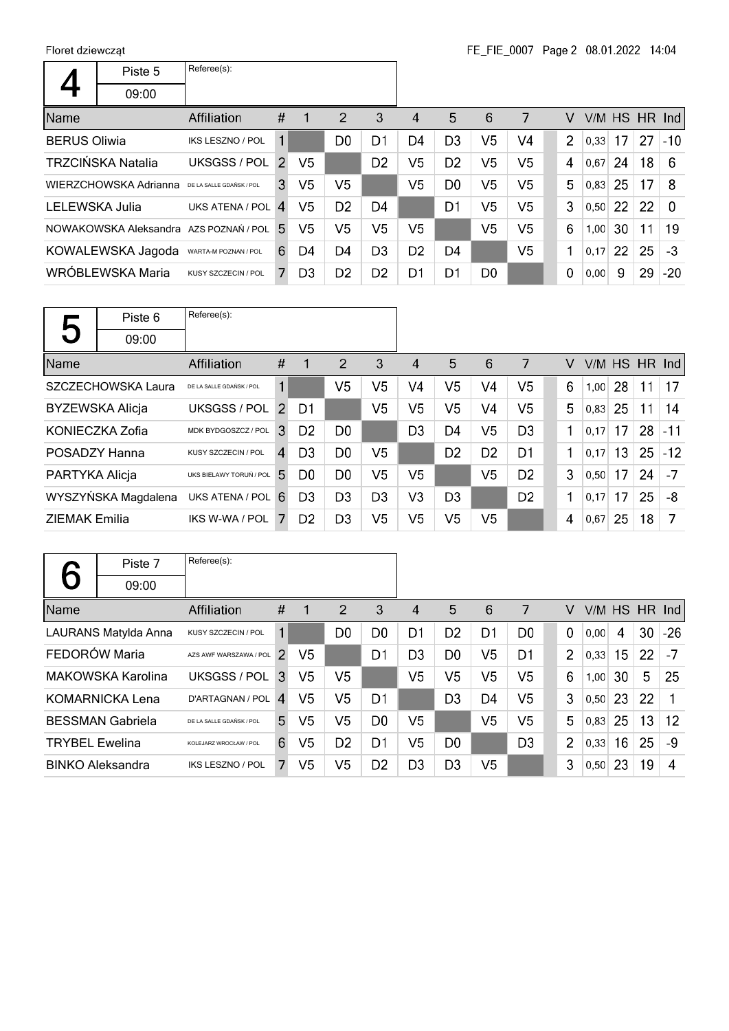|                     | Piste 5                  | Referee(s):              |               |                |                |                |                |                |                |                |                |      |           |    |          |
|---------------------|--------------------------|--------------------------|---------------|----------------|----------------|----------------|----------------|----------------|----------------|----------------|----------------|------|-----------|----|----------|
|                     | 09:00                    |                          |               |                |                |                |                |                |                |                |                |      |           |    |          |
| <b>Name</b>         |                          | <b>Affiliation</b>       | #             | 1              | $\overline{2}$ | 3              | $\overline{4}$ | 5              | 6              | 7              | V              | V/M  | HS HR Ind |    |          |
| <b>BERUS Oliwia</b> |                          | <b>IKS LESZNO / POL</b>  | 1             |                | D0             | D1             | D4             | D <sub>3</sub> | V <sub>5</sub> | V <sub>4</sub> | $\overline{2}$ | 0,33 | 17        | 27 | $-10$    |
|                     | <b>TRZCIŃSKA Natalia</b> | UKSGSS / POL             | $\mathcal{P}$ | V5             |                | D <sub>2</sub> | V5             | D <sub>2</sub> | V <sub>5</sub> | V5             | 4              | 0.67 | 24        | 18 | 6        |
|                     | WIERZCHOWSKA Adrianna    | DE LA SALLE GDAŃSK / POL | 3             | V <sub>5</sub> | V <sub>5</sub> |                | V5             | D <sub>0</sub> | V <sub>5</sub> | V5             | 5              | 0.83 | 25        | 17 | 8        |
| LELEWSKA Julia      |                          | UKS ATENA / POL          | $\mathbf{A}$  | V5             | D <sub>2</sub> | D4             |                | D1             | V <sub>5</sub> | V5             | 3              | 0.50 | 22        | 22 | $\Omega$ |
|                     | NOWAKOWSKA Aleksandra    | AZS POZNAŃ / POL         | 5.            | V5             | V <sub>5</sub> | V5             | V5             |                | V <sub>5</sub> | V <sub>5</sub> | 6              | 1,00 | 30        | 11 | 19       |
|                     | KOWALEWSKA Jagoda        | WARTA-M POZNAN / POL     | 6             | D4             | D4             | D <sub>3</sub> | D <sub>2</sub> | D4             |                | V <sub>5</sub> | 1              | 0,17 | 22        | 25 | $-3$     |
|                     | WRÓBLEWSKA Maria         | KUSY SZCZECIN / POL      | 7             | D <sub>3</sub> | D <sub>2</sub> | D <sub>2</sub> | D1             | D <sub>1</sub> | D <sub>0</sub> |                | 0              | 0,00 | 9         | 29 | $-20$    |

|                      | Piste 6                | Referee(s):              |                |                |                |                |                |                |                |                |   |               |    |    |       |
|----------------------|------------------------|--------------------------|----------------|----------------|----------------|----------------|----------------|----------------|----------------|----------------|---|---------------|----|----|-------|
| 5                    | 09:00                  |                          |                |                |                |                |                |                |                |                |   |               |    |    |       |
| Name                 |                        | <b>Affiliation</b>       | #              | 1              | 2              | 3              | 4              | 5              | 6              | 7              | V | V/M HS HR Ind |    |    |       |
|                      | SZCZECHOWSKA Laura     | DE LA SALLE GDAŃSK / POL | 1              |                | V5             | V5             | V4             | V5             | V4             | V5             | 6 | 1,00          | 28 | 11 | 17    |
|                      | <b>BYZEWSKA Alicja</b> | <b>UKSGSS / POL</b>      | 2              | D1             |                | V <sub>5</sub> | V5             | V5             | V <sub>4</sub> | V <sub>5</sub> | 5 | 0,83          | 25 | 11 | 14    |
|                      | KONIECZKA Zofia        | MDK BYDGOSZCZ / POL      | 3              | D <sub>2</sub> | D <sub>0</sub> |                | D <sub>3</sub> | D4             | V <sub>5</sub> | D <sub>3</sub> | 1 | 0,17          | 17 | 28 | $-11$ |
| POSADZY Hanna        |                        | KUSY SZCZECIN / POL      | 4              | D <sub>3</sub> | D <sub>0</sub> | V5             |                | D <sub>2</sub> | D <sub>2</sub> | D <sub>1</sub> | 1 | 0,17          | 13 | 25 | $-12$ |
| PARTYKA Alicja       |                        | UKS BIELAWY TORUŃ / POL  | 5.             | D <sub>0</sub> | D <sub>0</sub> | V5             | V5             |                | V <sub>5</sub> | D <sub>2</sub> | 3 | 0.50          | 17 | 24 | $-7$  |
|                      | WYSZYŃSKA Magdalena    | UKS ATENA / POL          | 6              | D <sub>3</sub> | D <sub>3</sub> | D <sub>3</sub> | V3             | D <sub>3</sub> |                | D <sub>2</sub> | 1 | 0,17          | 17 | 25 | -8    |
| <b>ZIEMAK Emilia</b> |                        | IKS W-WA / POL           | $\overline{7}$ | D <sub>2</sub> | D <sub>3</sub> | V5             | V5             | V <sub>5</sub> | V <sub>5</sub> |                | 4 | 0.67          | 25 | 18 | 7     |

|                       | Piste 7                 | Referee(s):              |                |                |                |                |                |                |                |                |                |      |    |               |       |
|-----------------------|-------------------------|--------------------------|----------------|----------------|----------------|----------------|----------------|----------------|----------------|----------------|----------------|------|----|---------------|-------|
|                       | 09:00                   |                          |                |                |                |                |                |                |                |                |                |      |    |               |       |
| Name                  |                         | <b>Affiliation</b>       | #              |                | 2              | 3              | 4              | 5              | 6              | 7              | v              |      |    | V/M HS HR Ind |       |
|                       | LAURANS Matylda Anna    | KUSY SZCZECIN / POL      | 1              |                | D <sub>0</sub> | D <sub>0</sub> | D1             | D <sub>2</sub> | D1             | D <sub>0</sub> | $\overline{0}$ | 0,00 | 4  | 30            | $-26$ |
| FEDORÓW Maria         |                         | AZS AWF WARSZAWA / POL   | $\mathcal{P}$  | V <sub>5</sub> |                | D1             | D <sub>3</sub> | D <sub>0</sub> | V <sub>5</sub> | D1             | $\overline{2}$ | 0,33 | 15 | 22            | -7    |
|                       | MAKOWSKA Karolina       | <b>UKSGSS / POL</b>      | 3              | V5             | V5             |                | V <sub>5</sub> | V <sub>5</sub> | V <sub>5</sub> | V5             | 6              | 1,00 | 30 | 5             | 25    |
|                       | <b>KOMARNICKA Lena</b>  | D'ARTAGNAN / POL         | 4              | V5             | V <sub>5</sub> | D1             |                | D <sub>3</sub> | D <sub>4</sub> | V <sub>5</sub> | 3              | 0,50 | 23 | 22            | 1     |
|                       | <b>BESSMAN Gabriela</b> | DE LA SALLE GDAŃSK / POL | 5              | V <sub>5</sub> | V <sub>5</sub> | D0             | V5             |                | V <sub>5</sub> | V <sub>5</sub> | 5              | 0,83 | 25 | 13            | 12    |
| <b>TRYBEL Ewelina</b> |                         | KOLEJARZ WROCŁAW / POL   | 6              | V <sub>5</sub> | D <sub>2</sub> | D <sub>1</sub> | V5             | D <sub>0</sub> |                | D <sub>3</sub> | $\overline{2}$ | 0,33 | 16 | 25            | -9    |
|                       | <b>BINKO Aleksandra</b> | <b>IKS LESZNO / POL</b>  | $\overline{7}$ | V <sub>5</sub> | V <sub>5</sub> | D <sub>2</sub> | D <sub>3</sub> | D <sub>3</sub> | V <sub>5</sub> |                | 3              | 0,50 | 23 | 19            | 4     |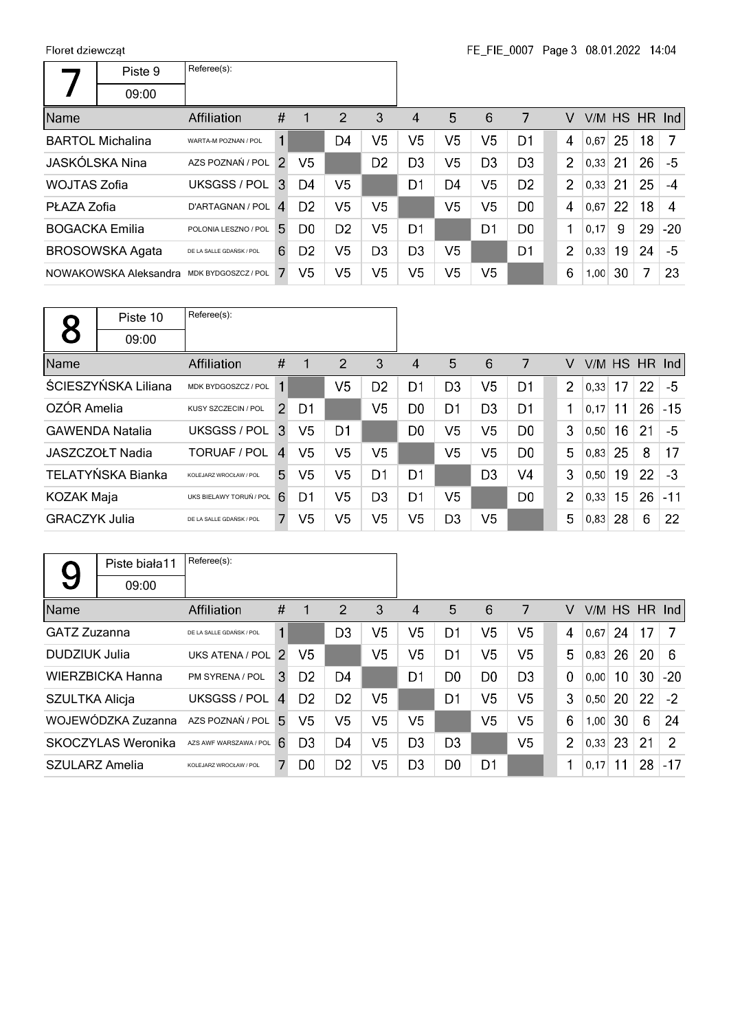$\Gamma$ 

|                       | Piste 9                 | Referee(s):              |                |                |                |                |                |                |                |                |                |      |    |    |                  |
|-----------------------|-------------------------|--------------------------|----------------|----------------|----------------|----------------|----------------|----------------|----------------|----------------|----------------|------|----|----|------------------|
|                       | 09:00                   |                          |                |                |                |                |                |                |                |                |                |      |    |    |                  |
| Name                  |                         | Affiliation              | #              | -1             | 2              | 3              | 4              | 5              | 6              | 7              | v              |      |    |    | $V/M$ HS HR Ind  |
|                       | <b>BARTOL Michalina</b> | WARTA-M POZNAN / POL     | 1              |                | D4             | V5             | V5             | V5             | V <sub>5</sub> | D <sub>1</sub> | $\overline{4}$ | 0,67 | 25 | 18 | -7               |
|                       | JASKÓLSKA Nina          | AZS POZNAŃ / POL         | $\mathcal{P}$  | V5             |                | D <sub>2</sub> | D3             | V5             | D <sub>3</sub> | D <sub>3</sub> | $\overline{2}$ | 0.33 | 21 | 26 | -5               |
| WOJTAS Zofia          |                         | UKSGSS / POL             | $\mathbf{3}$   | D4             | V <sub>5</sub> |                | D1             | D4             | V <sub>5</sub> | D <sub>2</sub> | $\overline{2}$ | 0.33 | 21 | 25 | $-4$             |
| PŁAZA Zofia           |                         | D'ARTAGNAN / POL         | $\overline{A}$ | D <sub>2</sub> | V <sub>5</sub> | V5             |                | V5             | V <sub>5</sub> | D <sub>0</sub> | 4              | 0.67 | 22 | 18 | $\boldsymbol{A}$ |
| <b>BOGACKA Emilia</b> |                         | POLONIA LESZNO / POL     | 5.             | D <sub>0</sub> | D <sub>2</sub> | V5             | D1             |                | D1             | D <sub>0</sub> | 1              | 0,17 | 9  | 29 | $-20$            |
|                       | <b>BROSOWSKA Agata</b>  | DE LA SALLE GDAŃSK / POL | 6              | D <sub>2</sub> | V5             | D <sub>3</sub> | D <sub>3</sub> | V <sub>5</sub> |                | D <sub>1</sub> | $\overline{2}$ | 0,33 | 19 | 24 | -5               |
|                       | NOWAKOWSKA Aleksandra   | MDK BYDGOSZCZ / POL      |                | V5             | V <sub>5</sub> | V5             | V5             | V5             | V <sub>5</sub> |                | 6              | 1,00 | 30 | 7  | 23               |

|                      | Piste 10               | Referee(s):              |                |    |                |                |                |                |                |                |                |        |    |    |          |
|----------------------|------------------------|--------------------------|----------------|----|----------------|----------------|----------------|----------------|----------------|----------------|----------------|--------|----|----|----------|
|                      | 09:00                  |                          |                |    |                |                |                |                |                |                |                |        |    |    |          |
| Name                 |                        | Affiliation              | #              | 1  | 2              | 3              | 4              | 5              | 6              | 7              | V              | V/M HS |    |    | $HR$ Ind |
|                      | ŚCIESZYŃSKA Liliana    | MDK BYDGOSZCZ / POL      |                |    | V5             | D <sub>2</sub> | D1             | D <sub>3</sub> | V <sub>5</sub> | D1             | $\overline{2}$ | 0,33   | 17 | 22 | -5       |
| OZÓR Amelia          |                        | KUSY SZCZECIN / POL      | $\overline{2}$ | D1 |                | V <sub>5</sub> | D <sub>0</sub> | D <sub>1</sub> | D <sub>3</sub> | D <sub>1</sub> | 1              | 0.17   | 11 | 26 | $-15$    |
|                      | <b>GAWENDA Natalia</b> | UKSGSS / POL             | 3              | V5 | D1             |                | D <sub>0</sub> | V <sub>5</sub> | V <sub>5</sub> | D <sub>0</sub> | 3              | 0,50   | 16 | 21 | -5       |
|                      | JASZCZOŁT Nadia        | <b>TORUAF / POL</b>      | $\mathbf{A}$   | V5 | V <sub>5</sub> | V <sub>5</sub> |                | V <sub>5</sub> | V <sub>5</sub> | D <sub>0</sub> | 5              | 0,83   | 25 | 8  | 17       |
|                      | TELATYŃSKA Bianka      | KOLEJARZ WROCŁAW / POL   | 5.             | V5 | V5             | D1             | D1             |                | D <sub>3</sub> | V <sub>4</sub> | 3              | 0,50   | 19 | 22 | $-3$     |
| <b>KOZAK Maja</b>    |                        | UKS BIELAWY TORUŃ / POL  | 6              | D1 | V5             | D <sub>3</sub> | D <sub>1</sub> | V <sub>5</sub> |                | D <sub>0</sub> | $\overline{2}$ | 0,33   | 15 | 26 | $-11$    |
| <b>GRACZYK Julia</b> |                        | DE LA SALLE GDAŃSK / POL | 7              | V5 | V5             | V5             | V5             | D <sub>3</sub> | V <sub>5</sub> |                | 5              | 0,83   | 28 | 6  | 22       |

|                       | Piste biała11      | Referee(s):              |                |                |                |                |                |                |                |                |                |      |    |    |                 |
|-----------------------|--------------------|--------------------------|----------------|----------------|----------------|----------------|----------------|----------------|----------------|----------------|----------------|------|----|----|-----------------|
| 9                     | 09:00              |                          |                |                |                |                |                |                |                |                |                |      |    |    |                 |
| Name                  |                    | Affiliation              | #              |                | 2              | 3              | 4              | 5              | 6              | 7              | v              |      |    |    | $V/M$ HS HR Ind |
| GATZ Zuzanna          |                    | DE LA SALLE GDAŃSK / POL | 1              |                | D <sub>3</sub> | V <sub>5</sub> | V <sub>5</sub> | D <sub>1</sub> | V <sub>5</sub> | V <sub>5</sub> | 4              | 0.67 | 24 | 17 | -7              |
| DUDZIUK Julia         |                    | UKS ATENA / POL 2        |                | V5             |                | V5             | V5             | D1             | V5             | V5             | 5              | 0,83 | 26 | 20 | 6               |
|                       | WIERZBICKA Hanna   | PM SYRENA / POL          | 3              | D <sub>2</sub> | D <sub>4</sub> |                | D1             | D <sub>0</sub> | D <sub>0</sub> | D <sub>3</sub> | $\mathbf 0$    | 0,00 | 10 | 30 | $-20$           |
| <b>SZULTKA Alicja</b> |                    | UKSGSS / POL             | $\overline{4}$ | D <sub>2</sub> | D <sub>2</sub> | V5             |                | D1             | V <sub>5</sub> | V <sub>5</sub> | 3              | 0,50 | 20 | 22 | $-2$            |
|                       | WOJEWÓDZKA Zuzanna | AZS POZNAŃ / POL         | .5.            | V5             | V5             | V5             | V5             |                | V5             | V <sub>5</sub> | 6              | 1,00 | 30 | 6  | 24              |
|                       | SKOCZYLAS Weronika | AZS AWF WARSZAWA / POL   | 6              | D <sub>3</sub> | D <sub>4</sub> | V5             | D <sub>3</sub> | D <sub>3</sub> |                | V <sub>5</sub> | $\overline{2}$ | 0,33 | 23 | 21 | $\overline{2}$  |
| SZULARZ Amelia        |                    | KOLEJARZ WROCŁAW / POL   | 7              | D <sub>0</sub> | D <sub>2</sub> | V5             | D <sub>3</sub> | D <sub>0</sub> | D1             |                | 1              | 0,17 | 11 | 28 | $-17$           |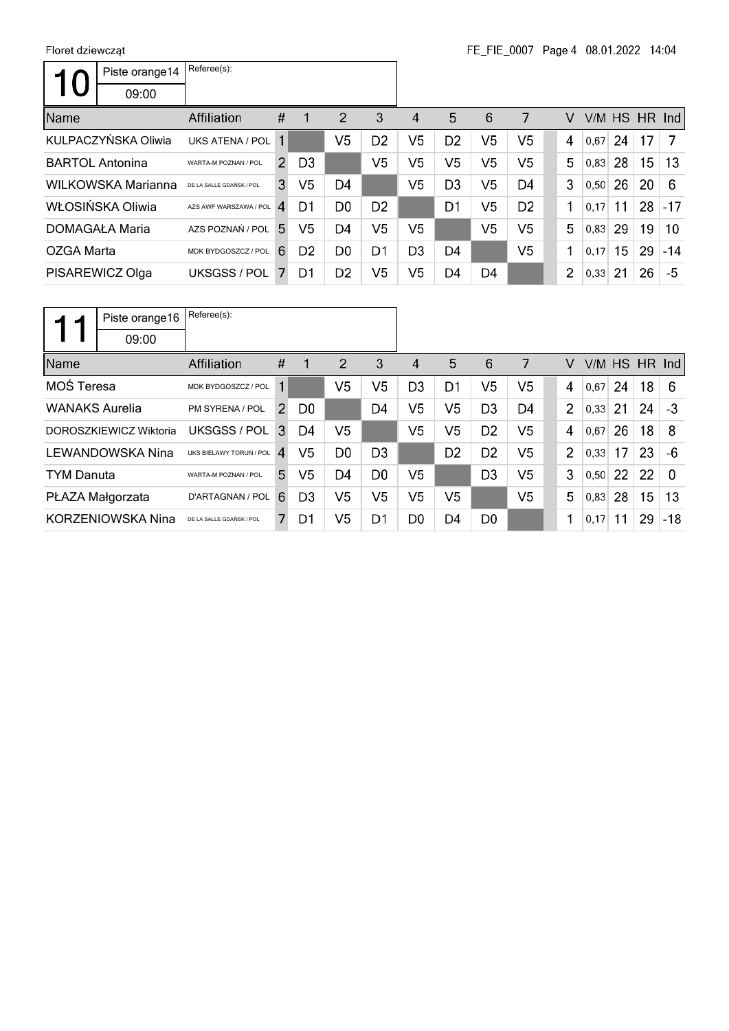|            | Piste orange14         | Referee(s):              |               |                |                |                |                |                |                |                |                |      |           |        |       |
|------------|------------------------|--------------------------|---------------|----------------|----------------|----------------|----------------|----------------|----------------|----------------|----------------|------|-----------|--------|-------|
|            | 09:00                  |                          |               |                |                |                |                |                |                |                |                |      |           |        |       |
| Name       |                        | Affiliation              | #             | 1              | 2              | 3              | 4              | 5              | 6              | 7              | v              | V/M  | <b>HS</b> | HR Ind |       |
|            | KULPACZYŃSKA Oliwia    | UKS ATENA / POL          |               |                | V5             | D <sub>2</sub> | V5             | D <sub>2</sub> | V5             | V5             | 4              | 0,67 | 24        | 17     | 7     |
|            | <b>BARTOL Antonina</b> | WARTA-M POZNAN / POL     | $\mathcal{P}$ | D <sub>3</sub> |                | V5             | V5             | V <sub>5</sub> | V5             | V5             | 5              | 0.83 | 28        | 15     | 13    |
|            | WILKOWSKA Marianna     | DE LA SALLE GDAŃSK / POL | 3             | V <sub>5</sub> | D <sub>4</sub> |                | V5             | D <sub>3</sub> | V <sub>5</sub> | D4             | 3              | 0,50 | 26        | 20     | 6     |
|            | WŁOSIŃSKA Oliwia       | AZS AWF WARSZAWA / POL   | $\mathbf{A}$  | D1             | D <sub>0</sub> | D <sub>2</sub> |                | D <sub>1</sub> | V5             | D <sub>2</sub> | 1              | 0.17 | 11        | 28     | $-17$ |
|            | DOMAGAŁA Maria         | AZS POZNAŃ / POL         | 5.            | V <sub>5</sub> | D4             | V <sub>5</sub> | V5             |                | V <sub>5</sub> | V5             | 5              | 0,83 | 29        | 19     | 10    |
| OZGA Marta |                        | MDK BYDGOSZCZ / POL      | 6             | D <sub>2</sub> | D <sub>0</sub> | D1             | D3             | D <sub>4</sub> |                | V5             | 1              | 0,17 | 15        | 29     | $-14$ |
|            | PISAREWICZ Olga        | UKSGSS / POL             |               | D1             | D <sub>2</sub> | V <sub>5</sub> | V <sub>5</sub> | D4             | D4             |                | $\overline{2}$ | 0,33 | 21        | 26     | -5    |

|                       | Piste orange16           | Referee(s):              |                |                |                |                |                |                |                |                |                |        |    |    |          |
|-----------------------|--------------------------|--------------------------|----------------|----------------|----------------|----------------|----------------|----------------|----------------|----------------|----------------|--------|----|----|----------|
|                       | 09:00                    |                          |                |                |                |                |                |                |                |                |                |        |    |    |          |
| Name                  |                          | Affiliation              | #              | 1              | 2              | 3              | 4              | 5              | 6              | 7              | V              | V/M HS |    |    | $HR$ Ind |
| MOŚ Teresa            |                          | MDK BYDGOSZCZ / POL      |                |                | V5             | V5             | D <sub>3</sub> | D1             | V <sub>5</sub> | V <sub>5</sub> | 4              | 0,67   | 24 | 18 | 6        |
| <b>WANAKS Aurelia</b> |                          | PM SYRENA / POL          | $\overline{2}$ | D <sub>0</sub> |                | D <sub>4</sub> | V5             | V5             | D <sub>3</sub> | D <sub>4</sub> | $\overline{2}$ | 0,33   | 21 | 24 | $-3$     |
|                       | DOROSZKIEWICZ Wiktoria   | UKSGSS / POL             | 3              | D4             | V <sub>5</sub> |                | V <sub>5</sub> | V <sub>5</sub> | D <sub>2</sub> | V <sub>5</sub> | 4              | 0,67   | 26 | 18 | 8        |
|                       | LEWANDOWSKA Nina         | UKS BIELAWY TORUŃ / POL  | 4              | V5             | D <sub>0</sub> | D <sub>3</sub> |                | D <sub>2</sub> | D <sub>2</sub> | V5             | $\overline{2}$ | 0,33   | 17 | 23 | -6       |
| <b>TYM Danuta</b>     |                          | WARTA-M POZNAN / POL     | 5.             | V <sub>5</sub> | D4             | D <sub>0</sub> | V5             |                | D <sub>3</sub> | V <sub>5</sub> | 3              | 0,50   | 22 | 22 | $\Omega$ |
|                       | PŁAZA Małgorzata         | D'ARTAGNAN / POL         | 6              | D <sub>3</sub> | V5             | V5             | V5             | V5             |                | V5             | 5              | 0,83   | 28 | 15 | 13       |
|                       | <b>KORZENIOWSKA Nina</b> | DE LA SALLE GDAŃSK / POL | 7              | D1             | V5             | D1             | D0             | D4             | D <sub>0</sub> |                | -1             | 0,17   | 11 | 29 | $-18$    |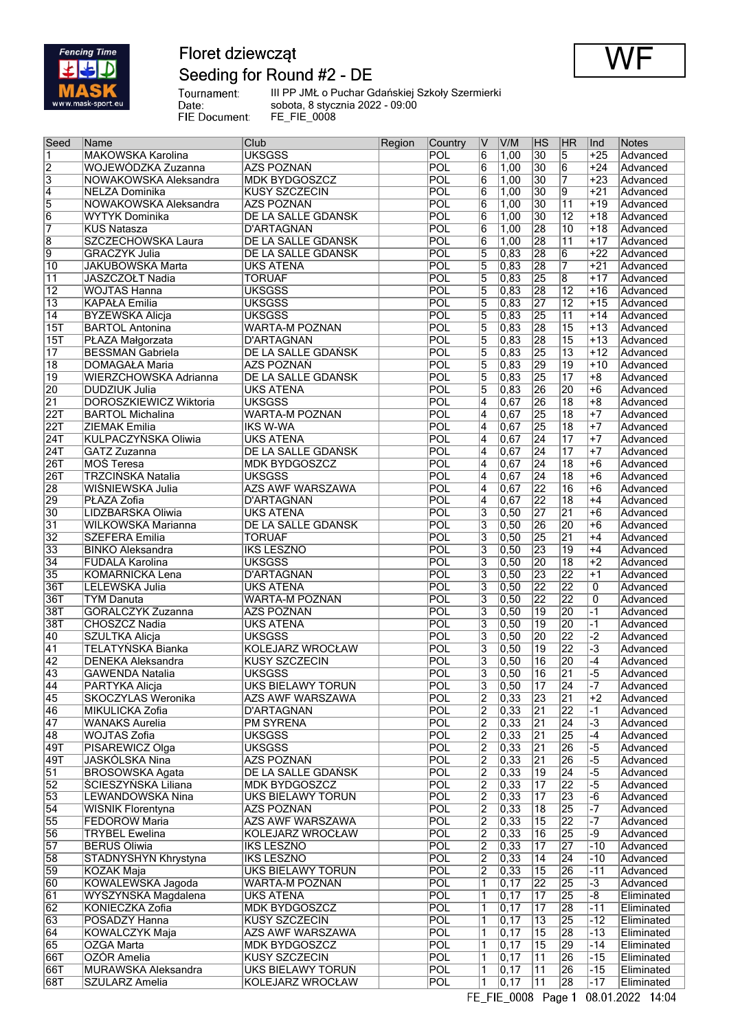

## Floret dziewcząt Seeding for Round #2 - DE



Tournament:<br>Date:<br>FIE Document:

III PP JMŁ o Puchar Gdańskiej Szkoły Szermierki sobota, 8 stycznia 2022 - 09:00 FE\_FIE\_0008

| Seed                    | Name                     | Club                      | Region | Country    | IV             | V/M                | HS              | HR              | Ind                         | Notes      |
|-------------------------|--------------------------|---------------------------|--------|------------|----------------|--------------------|-----------------|-----------------|-----------------------------|------------|
| 1                       | <b>MAKOWSKA Karolina</b> | <b>UKSGSS</b>             |        | POL        | 6              | 1,00               | 30              | 5               | $+25$                       | Advanced   |
| $\overline{2}$          | WOJEWÓDZKA Zuzanna       | AZS POZNAŃ                |        | POL        | 6              | 1,00               | 30              | $\overline{6}$  | $+24$                       | Advanced   |
| $\overline{\mathbf{3}}$ | NOWAKOWSKA Aleksandra    | <b>MDK BYDGOSZCZ</b>      |        | <b>POL</b> | 6              | 1,00               | 30              | 7               | $+23$                       | Advanced   |
| $\overline{4}$          | NELZA Dominika           | <b>KUSY SZCZECIN</b>      |        | POL        | 6              | 1,00               | $\overline{30}$ | 9               | $+21$                       | Advanced   |
| $\overline{5}$          | NOWAKOWSKA Aleksandra    | AZS POZNAŃ                |        | POL        | 6              | 1,00               | $\overline{30}$ | $\overline{11}$ | $+19$                       | Advanced   |
|                         |                          |                           |        |            |                |                    |                 |                 |                             |            |
| $\overline{6}$          | <b>WYTYK Dominika</b>    | <b>DE LA SALLE GDAŃSK</b> |        | POL        | 6              | 1,00               | $\overline{30}$ | $\overline{12}$ | $+18$                       | Advanced   |
| 7                       | KUŚ Natasza              | D'ARTAGNAN                |        | POL        | 6              | 1,00               | 28              | 10              | +18                         | Advanced   |
| $\overline{8}$          | SZCZECHOWSKA Laura       | DE LA SALLE GDAŃSK        |        | POL        | 6              | 1,00               | 28              | $\overline{11}$ | $+17$                       | Advanced   |
| $\overline{9}$          | <b>GRACZYK Julia</b>     | DE LA SALLE GDAŃSK        |        | POL        | 5              | 0,83               | 28              | $\overline{6}$  | $+22$                       | Advanced   |
| $\overline{10}$         | <b>JAKUBOWSKA Marta</b>  | <b>UKS ATENA</b>          |        | POL        | 5              | $ 0,83\rangle$     | 28              | 7               | $+21$                       | Advanced   |
| $\overline{11}$         | JASZCZOŁT Nadia          | <b>TORUAF</b>             |        | POL        | 5              | 0,83               | 25              | $\overline{8}$  | $+17$                       | Advanced   |
| $\overline{12}$         | <b>WOJTAS Hanna</b>      | <b>UKSGSS</b>             |        | POL        | 5              | 0,83               | 28              | $\overline{12}$ | $+16$                       | Advanced   |
|                         |                          |                           |        |            |                |                    |                 |                 |                             |            |
| $\overline{13}$         | <b>KAPAŁA Emilia</b>     | <b>UKSGSS</b>             |        | POL        | 5              | $ 0,83\rangle$     | 27              | $\overline{12}$ | $+15$                       | Advanced   |
| $\overline{14}$         | <b>BYZEWSKA Alicja</b>   | <b>UKSGSS</b>             |        | POL        | 5              | 0,83               | 25              | $\overline{11}$ | $+14$                       | Advanced   |
| 15T                     | <b>BARTOL</b> Antonina   | WARTA-M POZNAN            |        | POL        | 5              | $\overline{0,83}$  | 28              | $\overline{15}$ | $+13$                       | Advanced   |
| 15T                     | PŁAZA Małgorzata         | <b>D'ARTAGNAN</b>         |        | POL        | 5              | $ 0,83\rangle$     | 28              | $\overline{15}$ | $+13$                       | Advanced   |
| $\overline{17}$         | <b>BESSMAN Gabriela</b>  | DE LA SALLE GDAŃSK        |        | POL        | 5              | 0,83               | $\overline{25}$ | $\overline{13}$ | $+12$                       | Advanced   |
| $\overline{18}$         | <b>DOMAGAŁA Maria</b>    | AZS POZNAŃ                |        | POL        | 5              | 0,83               | 29              | 19              | $+10$                       | Advanced   |
| $\overline{19}$         | WIERZCHOWSKA Adrianna    | DE LA SALLE GDAŃSK        |        | POL        | 5              | $ 0,83\rangle$     | 25              | 17              | $+8$                        | Advanced   |
|                         |                          |                           |        |            |                |                    |                 |                 |                             |            |
| 20                      | <b>DUDZIUK Julia</b>     | <b>UKS ATENA</b>          |        | POL        | 5              | 0,83               | 26              | 20              | $+6$                        | Advanced   |
| $\overline{21}$         | DOROSZKIEWICZ Wiktoria   | <b>UKSGSS</b>             |        | POL        | $\overline{4}$ | 0,67               | 26              | $\overline{18}$ | +8                          | Advanced   |
| 22T                     | <b>BARTOL Michalina</b>  | <b>WARTA-M POZNAN</b>     |        | <b>POL</b> | 4              | 0,67               | 25              | $\overline{18}$ | $+7$                        | Advanced   |
| 22T                     | <b>ZIEMAK Emilia</b>     | <b>IKS W-WA</b>           |        | POL        | 4              | 0,67               | $\overline{25}$ | $\overline{18}$ | $+7$                        | Advanced   |
| 24T                     | KULPACZYŃSKA Oliwia      | <b>UKS ATENA</b>          |        | POL        | 4              | $\overline{0,67}$  | $\overline{24}$ | $\overline{17}$ | $+7$                        | Advanced   |
| 24T                     | GATZ Zuzanna             | DE LA SALLE GDAŃSK        |        | <b>POL</b> | 4              | 0,67               | $\overline{24}$ | $\overline{17}$ | $+7$                        | Advanced   |
| 26T                     | MOS Teresa               | <b>MDK BYDGOSZCZ</b>      |        | POL        | 4              | 0,67               | $\overline{24}$ | $\overline{18}$ | $+6$                        | Advanced   |
|                         |                          |                           |        |            |                |                    |                 |                 |                             |            |
| 26T                     | <b>TRZCIŃSKA Natalia</b> | <b>UKSGSS</b>             |        | POL        | 4              | 0,67               | $\overline{24}$ | $\overline{18}$ | $+6$                        | Advanced   |
| 28                      | WIŚNIEWSKA Julia         | <b>AZS AWF WARSZAWA</b>   |        | POL        | 4              | 0,67               | 22              | 16              | $+6$                        | Advanced   |
| 29                      | PŁAZA Zofia              | D'ARTAGNAN                |        | POL        | 4              | 0,67               | $\overline{22}$ | $\overline{18}$ | $+4$                        | Advanced   |
| $\overline{30}$         | LIDZBARSKA Oliwia        | <b>UKS ATENA</b>          |        | POL        | 3              | 0, 50              | 27              | $\overline{21}$ | $+6$                        | Advanced   |
| $\overline{31}$         | WILKOWSKA Marianna       | DE LA SALLE GDAŃSK        |        | POL        | 3              | 0, 50              | 26              | 20              | $+6$                        | Advanced   |
| $\overline{32}$         | <b>SZEFERA Emilia</b>    | <b>TORUAF</b>             |        | POL        | $\overline{3}$ | 0, 50              | $\overline{25}$ | $\overline{21}$ | $+4$                        | Advanced   |
|                         |                          |                           |        |            |                |                    | 23              |                 |                             |            |
| $\overline{33}$         | <b>BINKO Aleksandra</b>  | <b>IKS LESZNO</b>         |        | POL        | 3              | 0,50               |                 | $\overline{19}$ | $+4$                        | Advanced   |
| $\overline{34}$         | <b>FUDALA Karolina</b>   | <b>UKSGSS</b>             |        | POL        | 3              | 0, 50              | 20              | $\overline{18}$ | $+2$                        | Advanced   |
| $\overline{35}$         | KOMARNICKA Lena          | <b>D'ARTAGNAN</b>         |        | POL        | $\overline{3}$ | 0, 50              | $\overline{23}$ | $\overline{22}$ | $+1$                        | Advanced   |
| 36T                     | LELEWSKA Julia           | <b>UKS ATENA</b>          |        | POL        | 3              | 0, 50              | 22              | $\overline{22}$ | 0                           | Advanced   |
| 36T                     | <b>TYM Danuta</b>        | <b>WARTA-M POZNAN</b>     |        | POL        | 3              | 0, 50              | $\overline{22}$ | 22              | 0                           | Advanced   |
| 38T                     | GÓRALCZYK Zuzanna        | AZS POZNAŃ                |        | POL        | 3              | 0, 50              | 19              | 20              | $-1$                        | Advanced   |
| 38T                     | <b>CHOSZCZ Nadia</b>     | <b>UKS ATENA</b>          |        | POL        | 3              | 0, 50              | $\overline{19}$ | 20              | $-1$                        | Advanced   |
| 40                      | <b>SZULTKA Alicja</b>    |                           |        | <b>POL</b> |                |                    | 20              | 22              | $-2$                        |            |
|                         |                          | <b>UKSGSS</b>             |        |            | 3              | 0, 50              |                 |                 |                             | Advanced   |
| $\overline{41}$         | TELATYŃSKA Bianka        | KOLEJARZ WROCŁAW          |        | POL        | 3              | 0, 50              | 19              | 22              | $\overline{-3}$             | Advanced   |
| 42                      | DENEKA Aleksandra        | <b>KUSY SZCZECIN</b>      |        | POL        | 3              | 0, 50              | $\overline{16}$ | 20              | -4                          | Advanced   |
| 43                      | <b>GAWENDA Natalia</b>   | <b>UKSGSS</b>             |        | POL        | 3              | 0, 50              | 16              | $\overline{21}$ | -5                          | Advanced   |
| 44                      | <b>PARTYKA Alicja</b>    | <b>UKS BIELAWY TORUN</b>  |        | POL        | $\overline{3}$ | 0, 50              | $\overline{17}$ | $\overline{24}$ | $\overline{\phantom{0}}$ -7 | Advanced   |
| 45                      | SKOCZYLAS Weronika       | <b>AZS AWF WARSZAWA</b>   |        | POL        | 2              | 0,33               | $\overline{23}$ | 21              | $+2$                        | Advanced   |
| 46                      | <b>MIKULICKA Zofia</b>   | <b>D'ARTAGNAN</b>         |        | POL        | $\overline{2}$ | 0,33               | $\overline{21}$ | 22              | $-1$                        |            |
|                         |                          |                           |        |            |                |                    |                 |                 |                             | Advanced   |
| 47                      | <b>WANAKS Aurelia</b>    | <b>PM SYRENA</b>          |        | POL        | $\overline{2}$ | 0,33               | $\overline{21}$ | 24              | $-3$                        | Advanced   |
| 48                      | WOJTAS Zofia             | <b>UKSGSS</b>             |        | POL        | $\overline{2}$ | $\overline{)0,33}$ | $\overline{21}$ | 25              | $-4$                        | Advanced   |
| 49T                     | PISAREWICZ Olga          | <b>UKSGSS</b>             |        | POL        | $\overline{2}$ | 0,33               | $\overline{21}$ | 26              | $-5$                        | Advanced   |
| 49T                     | <b>JASKÓLSKA Nina</b>    | AZS POZNAŃ                |        | POL        | $\overline{2}$ | 0,33               | $\overline{21}$ | 26              | $-5$                        | Advanced   |
| $\overline{51}$         | <b>BROSOWSKA Agata</b>   | DE LA SALLE GDAŃSK        |        | POL        | 2              | 0,33               | 19              | $\overline{24}$ | $\overline{-5}$             | Advanced   |
| 52                      | ŚCIESZYŃSKA Liliana      | <b>MDK BYDGOSZCZ</b>      |        | <b>POL</b> | $\overline{2}$ | 0,33               | $\overline{17}$ | 22              | $-5$                        | Advanced   |
| 53                      | <b>LEWANDOWSKA Nina</b>  | UKS BIELAWY TORUN         |        | POL        | $\overline{2}$ | 0,33               | $\overline{17}$ | 23              | $-6$                        | Advanced   |
|                         |                          |                           |        |            |                |                    |                 |                 |                             |            |
| 54                      | WIŚNIK Florentyna        | AZS POZNAŃ                |        | POL        | $\overline{2}$ | 0,33               | $\overline{18}$ | 25              | $-7$                        | Advanced   |
| 55                      | FEDORÓW Maria            | <b>AZS AWF WARSZAWA</b>   |        | <b>POL</b> | $\overline{2}$ | 0,33               | $\overline{15}$ | 22              | $-7$                        | Advanced   |
| 56                      | <b>TRYBEL Ewelina</b>    | KOLEJARZ WROCŁAW          |        | POL        | $\overline{2}$ | 0,33               | 16              | 25              | -9                          | Advanced   |
| $\overline{57}$         | <b>BERUS Oliwia</b>      | <b>IKS LESZNO</b>         |        | POL        | 2              | 0,33               | $\overline{17}$ | $\overline{27}$ | $-10$                       | Advanced   |
| 58                      | STADNYSHYN Khrystyna     | <b>IKS LESZNO</b>         |        | POL        | $\overline{2}$ | 0,33               | $\overline{14}$ | 24              | $-10$                       | Advanced   |
| 59                      | <b>KOZAK Maja</b>        | <b>UKS BIELAWY TORUN</b>  |        | POL        | $\overline{2}$ | 0,33               | $\overline{15}$ | 26              | $-11$                       | Advanced   |
| 60                      | KOWALEWSKA Jagoda        |                           |        | POL        | 1              |                    | $\overline{22}$ | 25              | $-3$                        |            |
|                         |                          | WARTA-M POZNAN            |        |            |                | 0,17               |                 |                 |                             | Advanced   |
| 61                      | WYSZYŃSKA Magdalena      | <b>UKS ATENA</b>          |        | <b>POL</b> | 1              | 0,17               | $\overline{17}$ | 25              | $-8$                        | Eliminated |
| 62                      | KONIECZKA Zofia          | <b>MDK BYDGOSZCZ</b>      |        | POL        | 1              | $\overline{0,17}$  | $\overline{17}$ | 28              | $-11$                       | Eliminated |
| 63                      | POSADZY Hanna            | KUSY SZCZECIN             |        | POL        | 1              | $\overline{0,17}$  | $\overline{13}$ | 25              | $-12$                       | Eliminated |
| 64                      | <b>KOWALCZYK Maja</b>    | AZS AWF WARSZAWA          |        | POL        | 1              | $\overline{0,17}$  | $\overline{15}$ | 28              | $-13$                       | Eliminated |
| 65                      | <b>OZGA Marta</b>        | <b>MDK BYDGOSZCZ</b>      |        | <b>POL</b> | 1              | $\overline{0,17}$  | $\overline{15}$ | 29              | -14                         | Eliminated |
| 66T                     | OZÓR Amelia              | <b>KUSY SZCZECIN</b>      |        | <b>POL</b> | 1              | $\overline{0,17}$  | $\overline{11}$ | 26              | $-15$                       | Eliminated |
|                         |                          |                           |        |            |                |                    |                 |                 |                             |            |
| 66T                     | MURAWSKA Aleksandra      | UKS BIELAWY TORUŃ         |        | POL        | 1              | 0, 17              | $\overline{11}$ | 26              | $-15$                       | Eliminated |
| 68T                     | <b>SZULARZ Amelia</b>    | KOLEJARZ WROCŁAW          |        | POL        | 1              | 0, 17              | $\overline{11}$ | 28              | $ -17$                      | Eliminated |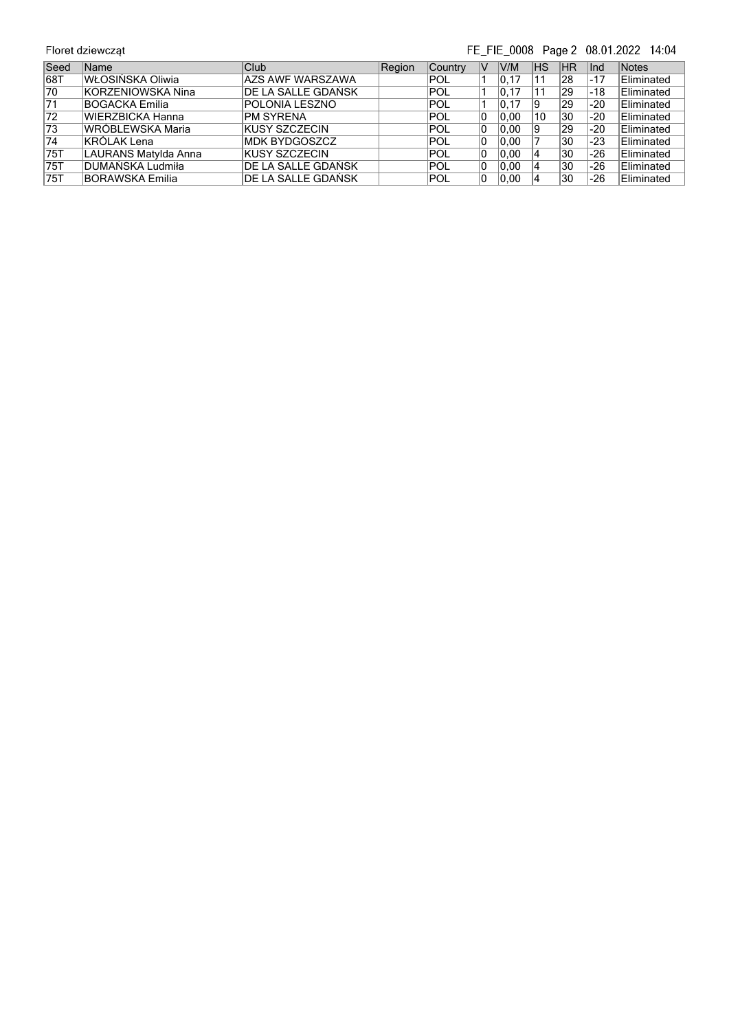## FE\_FIE\_0008 Page 2 08.01.2022 14:04

| Seed            | Name                    | Club                    | Region | <b>Country</b> | V  | V/M   | ΗS | <b>IHR</b> | lnd   | <b>Notes</b> |
|-----------------|-------------------------|-------------------------|--------|----------------|----|-------|----|------------|-------|--------------|
| 68T             | WŁOSIŃSKA Oliwia        | <b>AZS AWF WARSZAWA</b> |        | POL            |    | 10.17 | 11 | 28         | $-17$ | Eliminated   |
| 70              | KORZENIOWSKA Nina       | IDE LA SALLE GDAŃSK     |        | POL            |    | 0.17  | 11 | 29         | -18   | Eliminated   |
| 71              | <b>BOGACKA Emilia</b>   | POLONIA LESZNO          |        | POL            |    | 0, 17 | 19 | 29         | $-20$ | Eliminated   |
| 72              | WIERZBICKA Hanna        | <b>PM SYRENA</b>        |        | POL            | 10 | 0.00  | 10 | 30         | $-20$ | Eliminated   |
| 73              | <b>WRÓBLEWSKA Maria</b> | <b>IKUSY SZCZECIN</b>   |        | POL            | 10 | 0,00  | 19 | 29         | $-20$ | Eliminated   |
| $\overline{74}$ | <b>KRÓLAK Lena</b>      | <b>MDK BYDGOSZCZ</b>    |        | POL            | 10 | 0.00  |    | '30        | -23   | Eliminated   |
| 75T             | LAURANS Matylda Anna    | <b>IKUSY SZCZECIN</b>   |        | POL            | 10 | 0.00  | 14 | 30         | $-26$ | Eliminated   |
| 175T            | DUMAŃSKA Ludmiła        | IDE LA SALLE GDAŃSK     |        | POL            | 10 | 10.00 | 14 | 30         | -26   | Eliminated   |
| 75T             | <b>BORAWSKA Emilia</b>  | IDE LA SALLE GDAŃSK     |        | POL            | 10 | 0.00  |    | 30         | -26   | Eliminated   |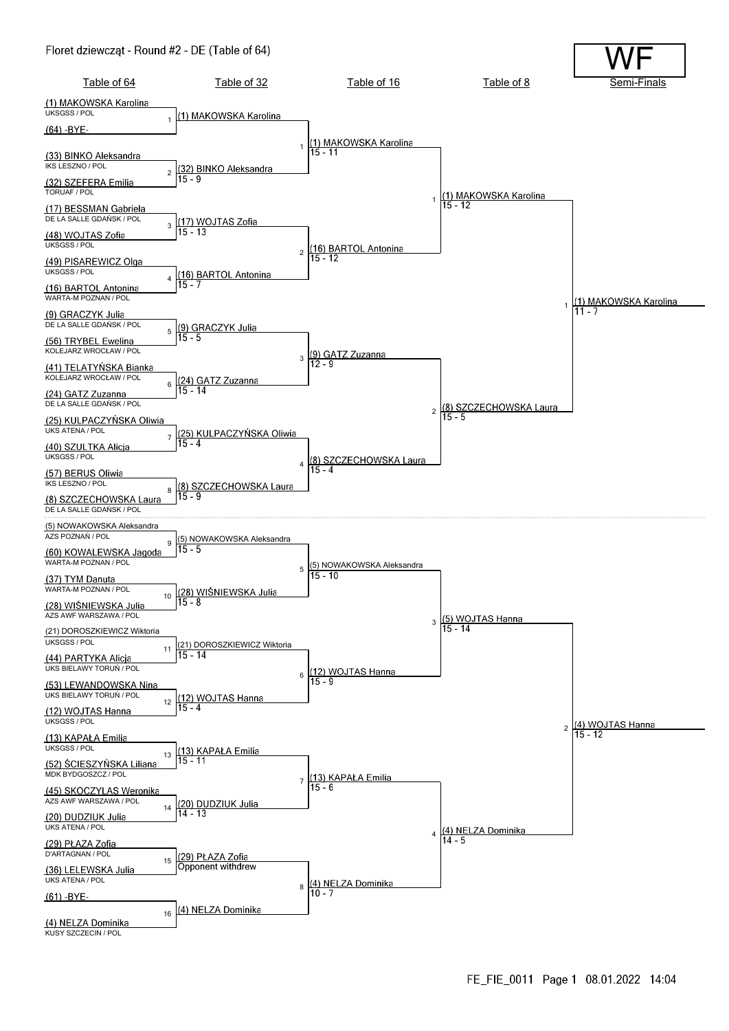#### Floret dziewcząt - Round #2 - DE (Table of 64)

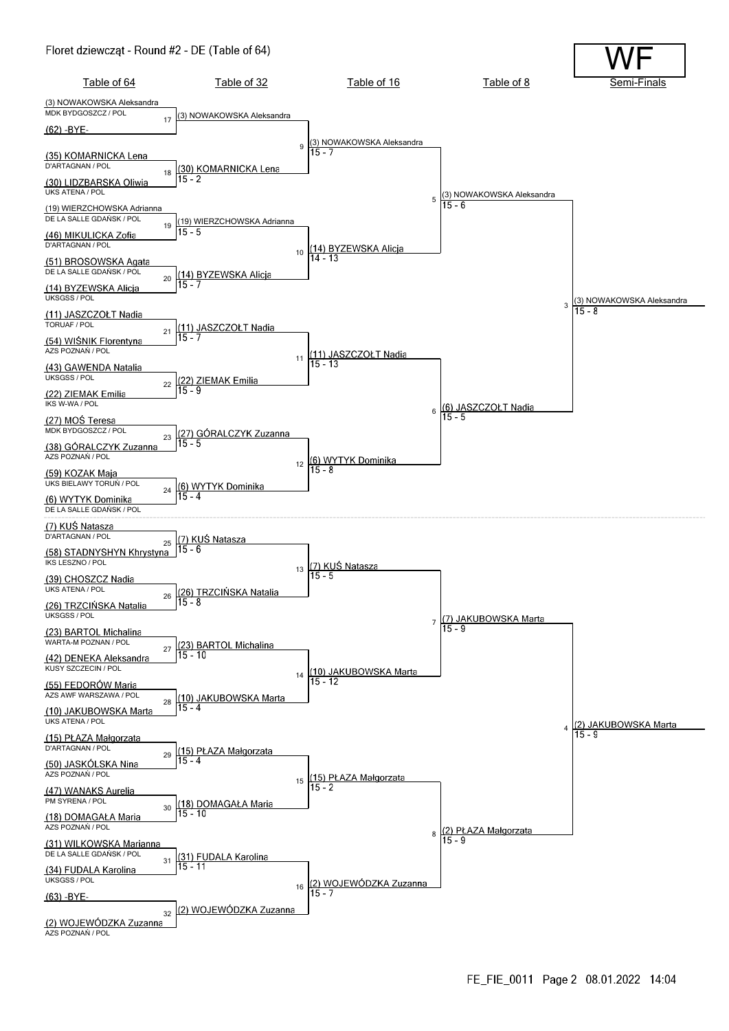#### Floret dziewcząt - Round #2 - DE (Table of 64)

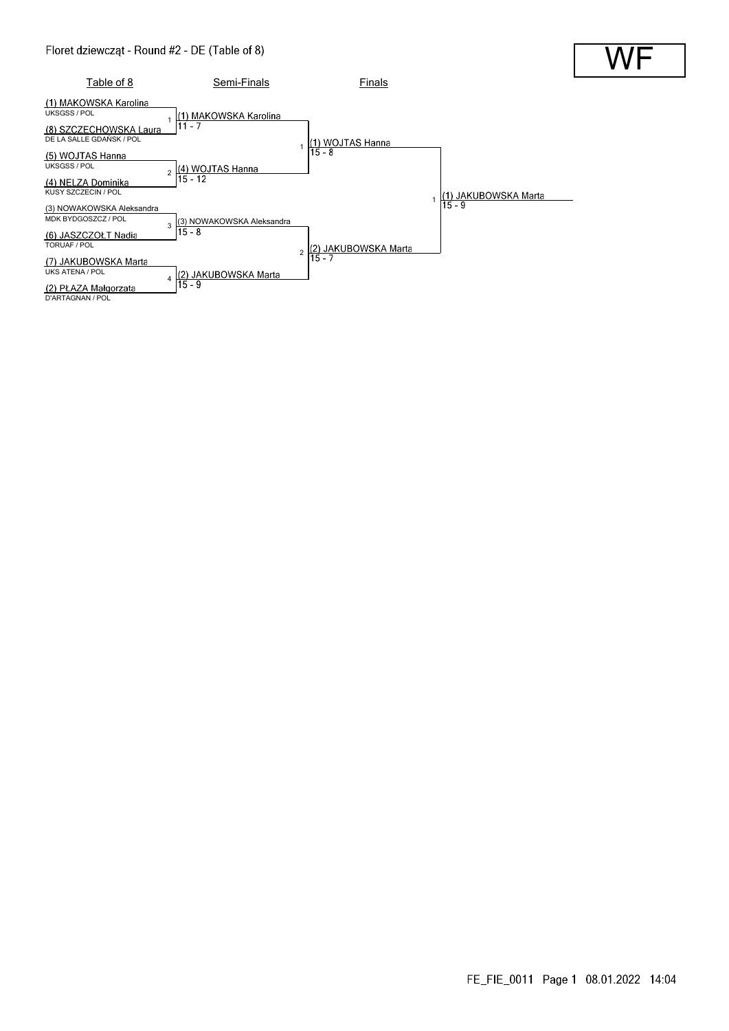#### Floret dziewcząt - Round #2 - DE (Table of 8)

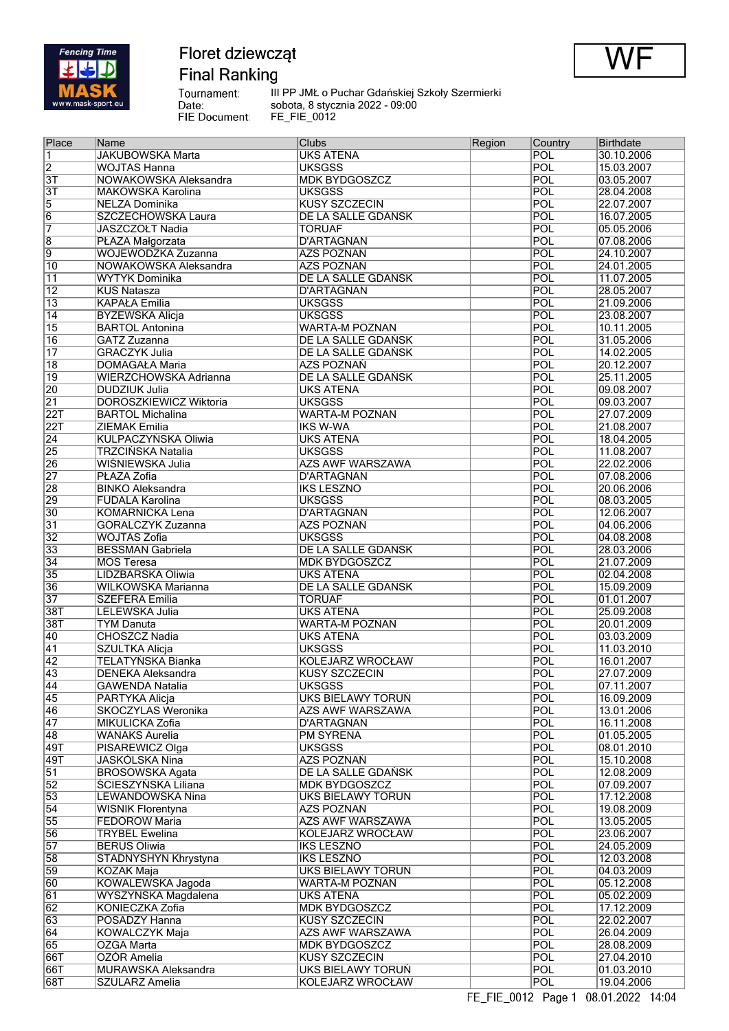

**Final Ranking** 

WF

Tournament:<br>Date:<br>FIE Document: III PP JMŁ o Puchar Gdańskiej Szkoły Szermierki sobota, 8 stycznia 2022 - 09:00 FE\_FIE\_0012

| Place            | Name                          | <b>Clubs</b>            | Region | Country    | <b>Birthdate</b> |
|------------------|-------------------------------|-------------------------|--------|------------|------------------|
| $\overline{1}$   | <b>JAKUBOWSKA Marta</b>       | <b>UKS ATENA</b>        |        | POL        | 30.10.2006       |
| $\overline{2}$   | <b>WOJTAS Hanna</b>           | <b>UKSGSS</b>           |        | POL        | 15.03.2007       |
| $\overline{3T}$  | NOWAKOWSKA Aleksandra         | <b>MDK BYDGOSZCZ</b>    |        | POL        | 03.05.2007       |
| $\overline{3T}$  | MAKOWSKA Karolina             | <b>UKSGSS</b>           |        | POL        | 28.04.2008       |
| $\overline{5}$   | <b>NELZA Dominika</b>         | <b>KUSY SZCZECIN</b>    |        | POL        | 22.07.2007       |
| $\overline{6}$   |                               |                         |        | POL        | 16.07.2005       |
|                  | SZCZECHOWSKA Laura            | DE LA SALLE GDAŃSK      |        |            |                  |
| 7                | JASZCZOŁT Nadia               | <b>TORUAF</b>           |        | <b>POL</b> | 05.05.2006       |
| $\overline{8}$   | PŁAZA Małgorzata              | <b>D'ARTAGNAN</b>       |        | POL        | 07.08.2006       |
| $\overline{9}$   | WOJEWÓDZKA Zuzanna            | AZS POZNAŃ              |        | <b>POL</b> | 24.10.2007       |
| 10               | NOWAKOWSKA Aleksandra         | <b>AZS POZNAŃ</b>       |        | POL        | 24.01.2005       |
| 11               | <b>WYTYK Dominika</b>         | DE LA SALLE GDAŃSK      |        | POL        | 11.07.2005       |
| $\overline{12}$  | <b>KUŚ Natasza</b>            | <b>D'ARTAGNAN</b>       |        | POL        | 28.05.2007       |
| $\overline{13}$  | <b>KAPAŁA Emilia</b>          | <b>UKSGSS</b>           |        | POL        | 21.09.2006       |
| 14               | <b>BYZEWSKA Alicja</b>        | <b>UKSGSS</b>           |        | POL        | 23.08.2007       |
| $\overline{15}$  | <b>BARTOL Antonina</b>        | WARTA-M POZNAN          |        | POL        | 10.11.2005       |
| 16               | <b>GATZ Zuzanna</b>           | DE LA SALLE GDAŃSK      |        | POL        | 31.05.2006       |
|                  |                               |                         |        | POL        |                  |
| $\overline{17}$  | <b>GRACZYK Julia</b>          | DE LA SALLE GDAŃSK      |        |            | 14.02.2005       |
| 18               | <b>DOMAGAŁA Maria</b>         | <b>AZS POZNAŃ</b>       |        | POL        | 20.12.2007       |
| $\overline{19}$  | WIERZCHOWSKA Adrianna         | DE LA SALLE GDAŃSK      |        | POL        | 25.11.2005       |
| 20               | <b>DUDZIUK Julia</b>          | <b>UKS ATENA</b>        |        | POL        | 09.08.2007       |
| $\overline{21}$  | <b>DOROSZKIEWICZ Wiktoria</b> | <b>UKSGSS</b>           |        | POL        | 09.03.2007       |
| $\overline{22T}$ | <b>BARTOL Michalina</b>       | <b>WARTA-M POZNAN</b>   |        | POL        | 27.07.2009       |
| $\overline{22T}$ | <b>ZIEMAK Emilia</b>          | <b>IKS W-WA</b>         |        | POL        | 21.08.2007       |
| $\overline{24}$  | KULPACZYŃSKA Oliwia           | <b>UKS ATENA</b>        |        | POL        | 18.04.2005       |
| 25               | <b>TRZCIŃSKA Natalia</b>      | <b>UKSGSS</b>           |        | POL        | 11.08.2007       |
| 26               | WIŚNIEWSKA Julia              | <b>AZS AWF WARSZAWA</b> |        | POL        | 22.02.2006       |
| $\overline{27}$  | PŁAZA Zofia                   | <b>D'ARTAGNAN</b>       |        | POL        | 07.08.2006       |
|                  | <b>BINKO Aleksandra</b>       |                         |        |            |                  |
| $\overline{28}$  |                               | <b>IKS LESZNO</b>       |        | POL        | 20.06.2006       |
| 29               | <b>FUDALA Karolina</b>        | <b>UKSGSS</b>           |        | POL        | 08.03.2005       |
| $\overline{30}$  | <b>KOMARNICKA Lena</b>        | <b>D'ARTAGNAN</b>       |        | POL        | 12.06.2007       |
| $\overline{31}$  | GÓRALCZYK Zuzanna             | <b>AZS POZNAŃ</b>       |        | POL        | 04.06.2006       |
| $\overline{32}$  | <b>WOJTAS Zofia</b>           | <b>UKSGSS</b>           |        | POL        | 04.08.2008       |
| 33               | <b>BESSMAN Gabriela</b>       | DE LA SALLE GDAŃSK      |        | POL        | 28.03.2006       |
| 34               | <b>MOS Teresa</b>             | <b>MDK BYDGOSZCZ</b>    |        | POL        | 21.07.2009       |
| 35               | LIDZBARSKA Oliwia             | <b>UKS ATENA</b>        |        | POL        | 02.04.2008       |
| 36               | WILKOWSKA Marianna            | DE LA SALLE GDAŃSK      |        | POL        | 15.09.2009       |
| 37               | <b>SZEFERA Emilia</b>         | <b>TORUAF</b>           |        | POL        | 01.01.2007       |
|                  | <b>LELEWSKA Julia</b>         | <b>UKS ATENA</b>        |        | POL        | 25.09.2008       |
| 38T              |                               |                         |        |            |                  |
| 38T              | <b>TYM Danuta</b>             | <b>WARTA-M POZNAN</b>   |        | POL        | 20.01.2009       |
| 40               | <b>CHOSZCZ Nadia</b>          | <b>UKS ATENA</b>        |        | POL        | 03.03.2009       |
| $\overline{41}$  | <b>SZULTKA Alicja</b>         | <b>UKSGSS</b>           |        | POL        | 11.03.2010       |
| $\overline{42}$  | <b>TELATYŃSKA Bianka</b>      | <b>KOLEJARZ WROCŁAW</b> |        | POL        | 16.01.2007       |
| 43               | <b>DENEKA Aleksandra</b>      | <b>KUSY SZCZECIN</b>    |        | POL        | 27.07.2009       |
| $\overline{44}$  | <b>GAWENDA Natalia</b>        | <b>UKSGSS</b>           |        | POL        | 07.11.2007       |
| $\overline{45}$  | <b>PARTYKA Alicja</b>         | UKS BIELAWY TORUŃ       |        | POL        | 16.09.2009       |
| 46               | <b>SKOCZYLAS Weronika</b>     | <b>AZS AWF WARSZAWA</b> |        | POL        | 13.01.2006       |
| $\overline{47}$  | MIKULICKA Zofia               | D'ARTAGNAN              |        | POL        | 16.11.2008       |
| $\overline{48}$  | <b>WANAKS Aurelia</b>         | <b>PM SYRENA</b>        |        | POL        | 01.05.2005       |
| $\sqrt{49T}$     | PISAREWICZ Olga               | <b>UKSGSS</b>           |        | POL        | 08.01.2010       |
|                  |                               |                         |        | POL        |                  |
| $\sqrt{49T}$     | JASKÓLSKA Nina                | AZS POZNAŃ              |        |            | 15.10.2008       |
| $\overline{51}$  | <b>BROSOWSKA Agata</b>        | DE LA SALLE GDAŃSK      |        | POL        | 12.08.2009       |
| $\overline{52}$  | ŚCIESZYŃSKA Liliana           | <b>MDK BYDGOSZCZ</b>    |        | POL        | 07.09.2007       |
| 53               | LEWANDOWSKA Nina              | UKS BIELAWY TORUŃ       |        | POL        | 17.12.2008       |
| $\overline{54}$  | <b>WISNIK Florentyna</b>      | <b>AZS POZNAŃ</b>       |        | POL        | 19.08.2009       |
| 55               | <b>FEDORÓW Maria</b>          | <b>AZS AWF WARSZAWA</b> |        | POL        | 13.05.2005       |
| 56               | <b>TRYBEL Ewelina</b>         | <b>KOLEJARZ WROCŁAW</b> |        | POL        | 23.06.2007       |
| $\overline{57}$  | <b>BERUS Oliwia</b>           | <b>IKS LESZNO</b>       |        | POL        | 24.05.2009       |
| 58               | STADNYSHYN Khrystyna          | <b>IKS LESZNO</b>       |        | POL        | 12.03.2008       |
| 59               | <b>KOZAK Maja</b>             | UKS BIELAWY TORUŃ       |        | POL        | 04.03.2009       |
|                  | KOWALEWSKA Jagoda             | WARTA-M POZNAN          |        | POL        | 05.12.2008       |
| 60               |                               |                         |        |            |                  |
| 61               | WYSZYŃSKA Magdalena           | UKS ATENA               |        | POL        | 05.02.2009       |
| $\overline{62}$  | <b>KONIECZKA Zofia</b>        | MDK BYDGOSZCZ           |        | POL        | 17.12.2009       |
| 63               | POSADZY Hanna                 | <b>KUSY SZCZECIN</b>    |        | POL        | 22.02.2007       |
| $\overline{64}$  | KOWALCZYK Maja                | AZS AWF WARSZAWA        |        | POL        | 26.04.2009       |
| 65               | <b>OZGA Marta</b>             | <b>MDK BYDGOSZCZ</b>    |        | POL        | 28.08.2009       |
| 66T              | OZÓR Amelia                   | <b>KUSY SZCZECIN</b>    |        | POL        | 27.04.2010       |
| 66T              | MURAWSKA Aleksandra           | UKS BIELAWY TORUŃ       |        | POL        | 01.03.2010       |
| 68T              | SZULARZ Amelia                | <b>KOLEJARZ WROCŁAW</b> |        | POL        | 19.04.2006       |
|                  |                               |                         |        |            |                  |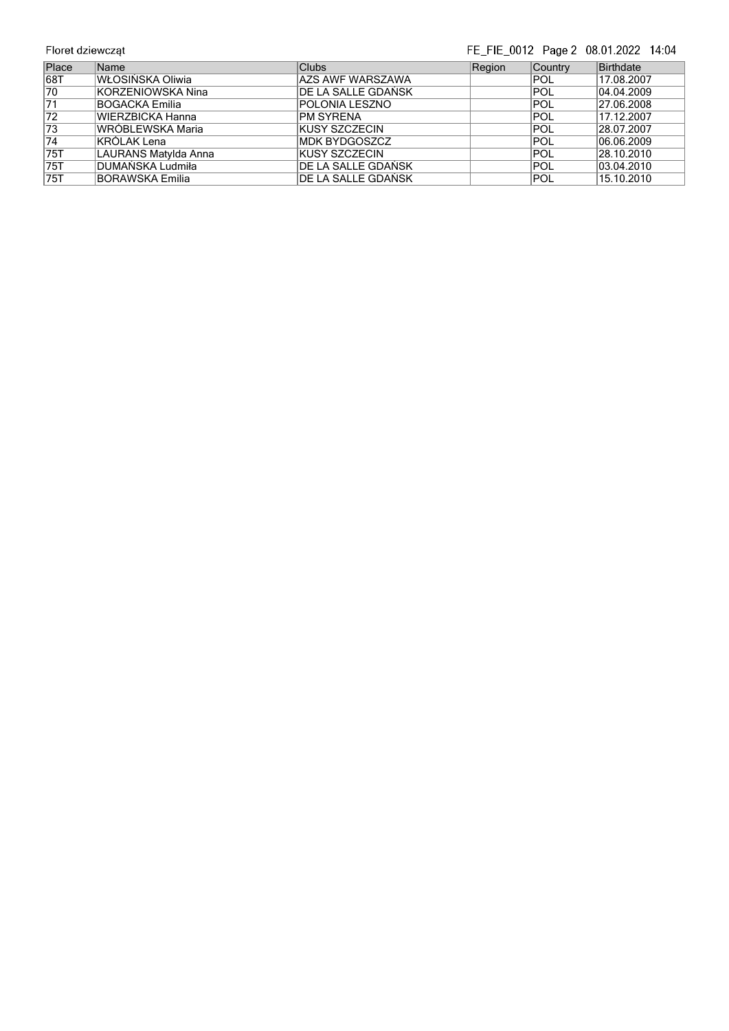## FE\_FIE\_0012 Page 2 08.01.2022 14:04

| Place           | Name                    | <b>Clubs</b>               | Region | Country    | Birthdate  |
|-----------------|-------------------------|----------------------------|--------|------------|------------|
| 68T             | <b>WŁOSIŃSKA Oliwia</b> | AZS AWF WARSZAWA           |        | <b>POL</b> | 17.08.2007 |
| 70              | KORZENIOWSKA Nina       | <b>IDE LA SALLE GDAŃSK</b> |        | POL        | 04.04.2009 |
| 71              | BOGACKA Emilia          | POLONIA LESZNO             |        | POL        | 27.06.2008 |
| 72              | WIERZBICKA Hanna        | <b>PM SYRENA</b>           |        | POL        | 17.12.2007 |
| 73              | lWRÓBLEWSKA Maria       | <b>KUSY SZCZECIN</b>       |        | POL        | 28.07.2007 |
| $\overline{74}$ | KRÓLAK Lena             | <b>IMDK BYDGOSZCZ</b>      |        | IPOL       | 06.06.2009 |
| 75T             | LAURANS Matylda Anna    | IKUSY SZCZECIN             |        | POL        | 28.10.2010 |
| 75T             | DUMAŃSKA Ludmiła        | IDE LA SALLE GDAŃSK        |        | POL        | 03.04.2010 |
| 75T             | BORAWSKA Emilia         | IDE LA SALLE GDAŃSK        |        | IPOL       | 15.10.2010 |